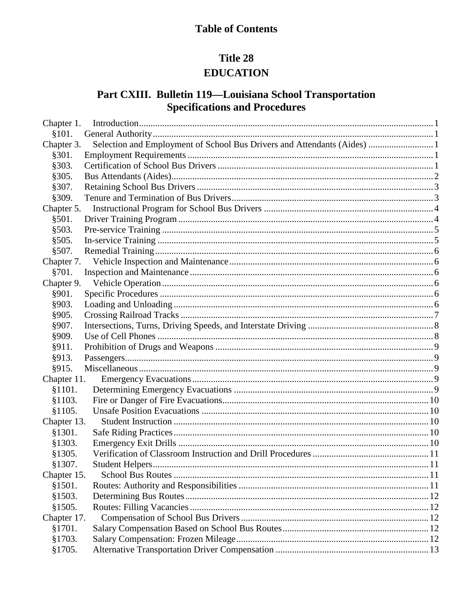# **Table of Contents**

# Title 28 **EDUCATION**

# Part CXIII. Bulletin 119-Louisiana School Transportation **Specifications and Procedures**

| Chapter 1.  |                                                                          |  |
|-------------|--------------------------------------------------------------------------|--|
| \$101.      |                                                                          |  |
| Chapter 3.  | Selection and Employment of School Bus Drivers and Attendants (Aides)  1 |  |
| §301.       |                                                                          |  |
| §303.       |                                                                          |  |
| §305.       |                                                                          |  |
| §307.       |                                                                          |  |
| §309.       |                                                                          |  |
| Chapter 5.  |                                                                          |  |
| §501.       |                                                                          |  |
| §503.       |                                                                          |  |
| §505.       |                                                                          |  |
| §507.       |                                                                          |  |
| Chapter 7.  |                                                                          |  |
| §701.       |                                                                          |  |
| Chapter 9.  |                                                                          |  |
| §901.       |                                                                          |  |
| §903.       |                                                                          |  |
| §905.       |                                                                          |  |
| §907.       |                                                                          |  |
| §909.       |                                                                          |  |
| §911.       |                                                                          |  |
| §913.       |                                                                          |  |
| §915.       |                                                                          |  |
| Chapter 11. |                                                                          |  |
| \$1101.     |                                                                          |  |
| \$1103.     |                                                                          |  |
| §1105.      |                                                                          |  |
| Chapter 13. |                                                                          |  |
| §1301.      |                                                                          |  |
| §1303.      |                                                                          |  |
| §1305.      |                                                                          |  |
| §1307.      |                                                                          |  |
| Chapter 15. |                                                                          |  |
| §1501.      |                                                                          |  |
| \$1503.     |                                                                          |  |
| \$1505.     |                                                                          |  |
| Chapter 17. |                                                                          |  |
| §1701.      |                                                                          |  |
| §1703.      |                                                                          |  |
| §1705.      |                                                                          |  |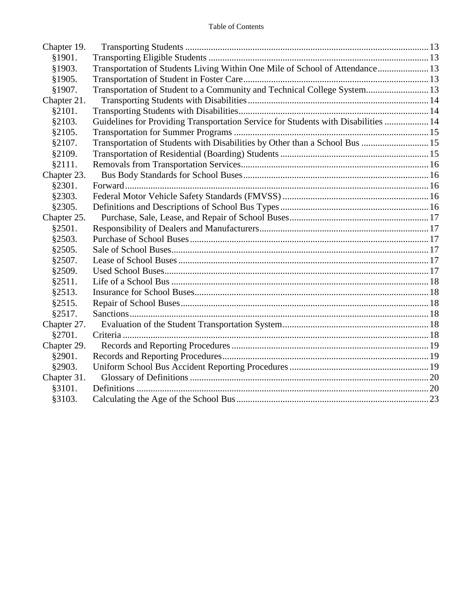| Chapter 19. |                                                                                    |  |
|-------------|------------------------------------------------------------------------------------|--|
| §1901.      |                                                                                    |  |
| §1903.      | Transportation of Students Living Within One Mile of School of Attendance 13       |  |
| §1905.      |                                                                                    |  |
| §1907.      | Transportation of Student to a Community and Technical College System 13           |  |
| Chapter 21. |                                                                                    |  |
| §2101.      |                                                                                    |  |
| §2103.      | Guidelines for Providing Transportation Service for Students with Disabilities  14 |  |
| §2105.      |                                                                                    |  |
| §2107.      | Transportation of Students with Disabilities by Other than a School Bus  15        |  |
| §2109.      |                                                                                    |  |
| §2111.      |                                                                                    |  |
| Chapter 23. |                                                                                    |  |
| §2301.      |                                                                                    |  |
| §2303.      |                                                                                    |  |
| §2305.      |                                                                                    |  |
| Chapter 25. |                                                                                    |  |
| §2501.      |                                                                                    |  |
| §2503.      |                                                                                    |  |
| §2505.      |                                                                                    |  |
| §2507.      |                                                                                    |  |
| §2509.      |                                                                                    |  |
| §2511.      |                                                                                    |  |
| \$2513.     |                                                                                    |  |
| §2515.      |                                                                                    |  |
| §2517.      |                                                                                    |  |
| Chapter 27. |                                                                                    |  |
| §2701.      |                                                                                    |  |
| Chapter 29. |                                                                                    |  |
| §2901.      |                                                                                    |  |
| §2903.      |                                                                                    |  |
| Chapter 31. |                                                                                    |  |
| §3101.      |                                                                                    |  |
| §3103.      |                                                                                    |  |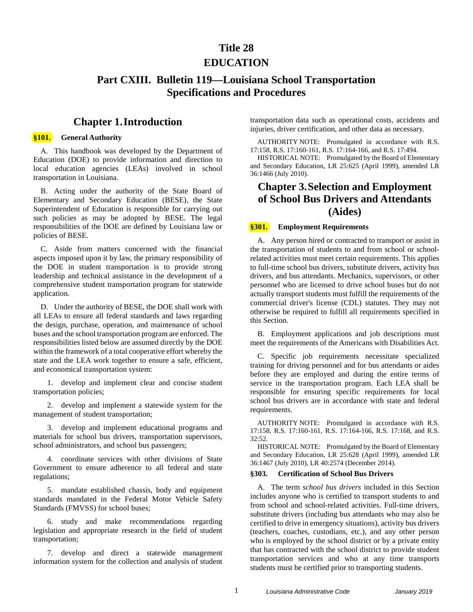# **Title 28**

### **EDUCATION**

# **Part CXIII. Bulletin 119—Louisiana School Transportation Specifications and Procedures**

### **Chapter 1.Introduction**

#### <span id="page-2-1"></span><span id="page-2-0"></span>**§101. General Authority**

A. This handbook was developed by the Department of Education (DOE) to provide information and direction to local education agencies (LEAs) involved in school transportation in Louisiana.

B. Acting under the authority of the State Board of Elementary and Secondary Education (BESE), the State Superintendent of Education is responsible for carrying out such policies as may be adopted by BESE. The legal responsibilities of the DOE are defined by Louisiana law or policies of BESE.

C. Aside from matters concerned with the financial aspects imposed upon it by law, the primary responsibility of the DOE in student transportation is to provide strong leadership and technical assistance in the development of a comprehensive student transportation program for statewide application.

D. Under the authority of BESE, the DOE shall work with all LEAs to ensure all federal standards and laws regarding the design, purchase, operation, and maintenance of school buses and the school transportation program are enforced. The responsibilities listed below are assumed directly by the DOE within the framework of a total cooperative effort whereby the state and the LEA work together to ensure a safe, efficient, and economical transportation system:

1. develop and implement clear and concise student transportation policies;

2. develop and implement a statewide system for the management of student transportation;

3. develop and implement educational programs and materials for school bus drivers, transportation supervisors, school administrators, and school bus passengers;

4. coordinate services with other divisions of State Government to ensure adherence to all federal and state regulations;

5. mandate established chassis, body and equipment standards mandated in the Federal Motor Vehicle Safety Standards (FMVSS) for school buses;

6. study and make recommendations regarding legislation and appropriate research in the field of student transportation;

7. develop and direct a statewide management information system for the collection and analysis of student

transportation data such as operational costs, accidents and injuries, driver certification, and other data as necessary.

AUTHORITY NOTE: Promulgated in accordance with R.S. 17:158, R.S. 17:160-161, R.S. 17:164-166, and R.S. 17:494.

HISTORICAL NOTE: Promulgated by the Board of Elementary and Secondary Education, LR 25:625 (April 1999), amended LR 36:1466 (July 2010).

# <span id="page-2-2"></span>**Chapter 3.Selection and Employment of School Bus Drivers and Attendants (Aides)**

#### <span id="page-2-3"></span>**§301. Employment Requirements**

A. Any person hired or contracted to transport or assist in the transportation of students to and from school or schoolrelated activities must meet certain requirements. This applies to full-time school bus drivers, substitute drivers, activity bus drivers, and bus attendants. Mechanics, supervisors, or other personnel who are licensed to drive school buses but do not actually transport students must fulfill the requirements of the commercial driver's license (CDL) statutes. They may not otherwise be required to fulfill all requirements specified in this Section.

B. Employment applications and job descriptions must meet the requirements of the Americans with Disabilities Act.

C. Specific job requirements necessitate specialized training for driving personnel and for bus attendants or aides before they are employed and during the entire terms of service in the transportation program. Each LEA shall be responsible for ensuring specific requirements for local school bus drivers are in accordance with state and federal requirements.

AUTHORITY NOTE: Promulgated in accordance with R.S. 17:158, R.S. 17:160-161, R.S. 17:164-166, R.S. 17:168, and R.S. 32:52.

HISTORICAL NOTE: Promulgated by the Board of Elementary and Secondary Education, LR 25:628 (April 1999), amended LR 36:1467 (July 2010), LR 40:2574 (December 2014).

#### <span id="page-2-4"></span>**§303. Certification of School Bus Drivers**

A. The term *school bus drivers* included in this Section includes anyone who is certified to transport students to and from school and school-related activities. Full-time drivers, substitute drivers (including bus attendants who may also be certified to drive in emergency situations), activity bus drivers (teachers, coaches, custodians, etc.), and any other person who is employed by the school district or by a private entity that has contracted with the school district to provide student transportation services and who at any time transports students must be certified prior to transporting students.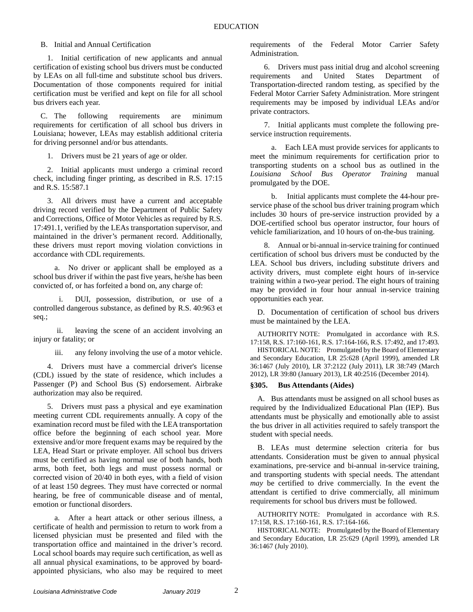#### B. Initial and Annual Certification

1. Initial certification of new applicants and annual certification of existing school bus drivers must be conducted by LEAs on all full-time and substitute school bus drivers. Documentation of those components required for initial certification must be verified and kept on file for all school bus drivers each year.

C. The following requirements are minimum requirements for certification of all school bus drivers in Louisiana; however, LEAs may establish additional criteria for driving personnel and/or bus attendants.

1. Drivers must be 21 years of age or older.

2. Initial applicants must undergo a criminal record check, including finger printing, as described in R.S. 17:15 and R.S. 15:587.1

3. All drivers must have a current and acceptable driving record verified by the Department of Public Safety and Corrections, Office of Motor Vehicles as required by R.S. 17:491.1, verified by the LEAs transportation supervisor, and maintained in the driver's permanent record. Additionally, these drivers must report moving violation convictions in accordance with CDL requirements.

a. No driver or applicant shall be employed as a school bus driver if within the past five years, he/she has been convicted of, or has forfeited a bond on, any charge of:

i. DUI, possession, distribution, or use of a controlled dangerous substance, as defined by R.S. 40:963 et seq.;

ii. leaving the scene of an accident involving an injury or fatality; or

iii. any felony involving the use of a motor vehicle.

4. Drivers must have a commercial driver's license (CDL) issued by the state of residence, which includes a Passenger (P) and School Bus (S) endorsement. Airbrake authorization may also be required.

5. Drivers must pass a physical and eye examination meeting current CDL requirements annually. A copy of the examination record must be filed with the LEA transportation office before the beginning of each school year. More extensive and/or more frequent exams may be required by the LEA, Head Start or private employer. All school bus drivers must be certified as having normal use of both hands, both arms, both feet, both legs and must possess normal or corrected vision of 20/40 in both eyes, with a field of vision of at least 150 degrees. They must have corrected or normal hearing, be free of communicable disease and of mental, emotion or functional disorders.

a. After a heart attack or other serious illness, a certificate of health and permission to return to work from a licensed physician must be presented and filed with the transportation office and maintained in the driver's record. Local school boards may require such certification, as well as all annual physical examinations, to be approved by boardappointed physicians, who also may be required to meet

requirements of the Federal Motor Carrier Safety Administration.

6. Drivers must pass initial drug and alcohol screening requirements and United States Department of Transportation-directed random testing, as specified by the Federal Motor Carrier Safety Administration. More stringent requirements may be imposed by individual LEAs and/or private contractors.

7. Initial applicants must complete the following preservice instruction requirements.

a. Each LEA must provide services for applicants to meet the minimum requirements for certification prior to transporting students on a school bus as outlined in the *Louisiana School Bus Operator Training* manual promulgated by the DOE.

b. Initial applicants must complete the 44-hour preservice phase of the school bus driver training program which includes 30 hours of pre-service instruction provided by a DOE-certified school bus operator instructor, four hours of vehicle familiarization, and 10 hours of on-the-bus training.

8. Annual or bi-annual in-service training for continued certification of school bus drivers must be conducted by the LEA. School bus drivers, including substitute drivers and activity drivers, must complete eight hours of in-service training within a two-year period. The eight hours of training may be provided in four hour annual in-service training opportunities each year.

D. Documentation of certification of school bus drivers must be maintained by the LEA.

AUTHORITY NOTE: Promulgated in accordance with R.S. 17:158, R.S. 17:160-161, R.S. 17:164-166, R.S. 17:492, and 17:493.

HISTORICAL NOTE: Promulgated by the Board of Elementary and Secondary Education, LR 25:628 (April 1999), amended LR 36:1467 (July 2010), LR 37:2122 (July 2011), LR 38:749 (March 2012), LR 39:80 (January 2013), LR 40:2516 (December 2014).

#### <span id="page-3-0"></span>**§305. Bus Attendants (Aides)**

A. Bus attendants must be assigned on all school buses as required by the Individualized Educational Plan (IEP). Bus attendants must be physically and emotionally able to assist the bus driver in all activities required to safely transport the student with special needs.

B. LEAs must determine selection criteria for bus attendants. Consideration must be given to annual physical examinations, pre-service and bi-annual in-service training, and transporting students with special needs. The attendant *may* be certified to drive commercially. In the event the attendant is certified to drive commercially, all minimum requirements for school bus drivers must be followed.

AUTHORITY NOTE: Promulgated in accordance with R.S. 17:158, R.S. 17:160-161, R.S. 17:164-166.

HISTORICAL NOTE: Promulgated by the Board of Elementary and Secondary Education, LR 25:629 (April 1999), amended LR 36:1467 (July 2010).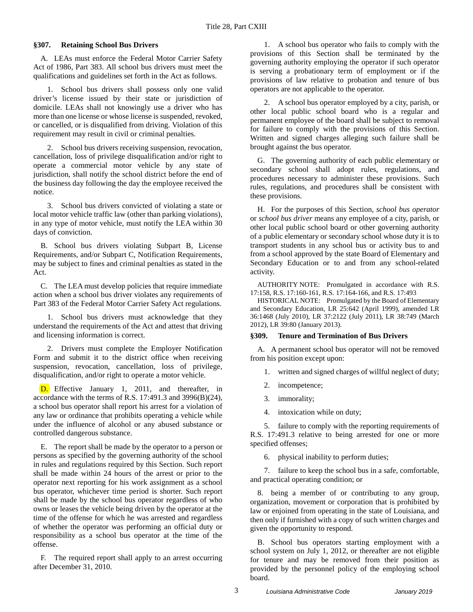#### <span id="page-4-0"></span>**§307. Retaining School Bus Drivers**

A. LEAs must enforce the Federal Motor Carrier Safety Act of 1986, Part 383. All school bus drivers must meet the qualifications and guidelines set forth in the Act as follows.

1. School bus drivers shall possess only one valid driver's license issued by their state or jurisdiction of domicile. LEAs shall not knowingly use a driver who has more than one license or whose license is suspended, revoked, or cancelled, or is disqualified from driving. Violation of this requirement may result in civil or criminal penalties.

2. School bus drivers receiving suspension, revocation, cancellation, loss of privilege disqualification and/or right to operate a commercial motor vehicle by any state of jurisdiction, shall notify the school district before the end of the business day following the day the employee received the notice.

3. School bus drivers convicted of violating a state or local motor vehicle traffic law (other than parking violations), in any type of motor vehicle, must notify the LEA within 30 days of conviction.

B. School bus drivers violating Subpart B, License Requirements, and/or Subpart C, Notification Requirements, may be subject to fines and criminal penalties as stated in the Act.

C. The LEA must develop policies that require immediate action when a school bus driver violates any requirements of Part 383 of the Federal Motor Carrier Safety Act regulations.

1. School bus drivers must acknowledge that they understand the requirements of the Act and attest that driving and licensing information is correct.

2. Drivers must complete the Employer Notification Form and submit it to the district office when receiving suspension, revocation, cancellation, loss of privilege, disqualification, and/or right to operate a motor vehicle.

D. Effective January 1, 2011, and thereafter, in accordance with the terms of R.S. 17:491.3 and 3996(B)(24), a school bus operator shall report his arrest for a violation of any law or ordinance that prohibits operating a vehicle while under the influence of alcohol or any abused substance or controlled dangerous substance.

E. The report shall be made by the operator to a person or persons as specified by the governing authority of the school in rules and regulations required by this Section. Such report shall be made within 24 hours of the arrest or prior to the operator next reporting for his work assignment as a school bus operator, whichever time period is shorter. Such report shall be made by the school bus operator regardless of who owns or leases the vehicle being driven by the operator at the time of the offense for which he was arrested and regardless of whether the operator was performing an official duty or responsibility as a school bus operator at the time of the offense.

F. The required report shall apply to an arrest occurring after December 31, 2010.

1. A school bus operator who fails to comply with the provisions of this Section shall be terminated by the governing authority employing the operator if such operator is serving a probationary term of employment or if the provisions of law relative to probation and tenure of bus operators are not applicable to the operator.

2. A school bus operator employed by a city, parish, or other local public school board who is a regular and permanent employee of the board shall be subject to removal for failure to comply with the provisions of this Section. Written and signed charges alleging such failure shall be brought against the bus operator.

G. The governing authority of each public elementary or secondary school shall adopt rules, regulations, and procedures necessary to administer these provisions. Such rules, regulations, and procedures shall be consistent with these provisions.

H. For the purposes of this Section, *school bus operator* or *school bus driver* means any employee of a city, parish, or other local public school board or other governing authority of a public elementary or secondary school whose duty it is to transport students in any school bus or activity bus to and from a school approved by the state Board of Elementary and Secondary Education or to and from any school-related activity.

AUTHORITY NOTE: Promulgated in accordance with R.S. 17:158, R.S. 17:160-161, R.S. 17:164-166, and R.S. 17:493

HISTORICAL NOTE: Promulgated by the Board of Elementary and Secondary Education, LR 25:642 (April 1999), amended LR 36:1468 (July 2010), LR 37:2122 (July 2011), LR 38:749 (March 2012), LR 39:80 (January 2013).

#### <span id="page-4-1"></span>**§309. Tenure and Termination of Bus Drivers**

A. A permanent school bus operator will not be removed from his position except upon:

1. written and signed charges of willful neglect of duty;

- 2. incompetence;
- 3. immorality;
- 4. intoxication while on duty;

5. failure to comply with the reporting requirements of R.S. 17:491.3 relative to being arrested for one or more specified offenses;

6. physical inability to perform duties;

7. failure to keep the school bus in a safe, comfortable, and practical operating condition; or

8. being a member of or contributing to any group, organization, movement or corporation that is prohibited by law or enjoined from operating in the state of Louisiana, and then only if furnished with a copy of such written charges and given the opportunity to respond.

B. School bus operators starting employment with a school system on July 1, 2012, or thereafter are not eligible for tenure and may be removed from their position as provided by the personnel policy of the employing school board.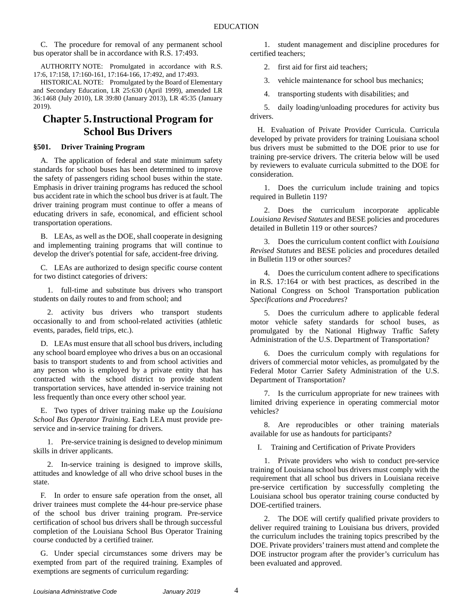C. The procedure for removal of any permanent school bus operator shall be in accordance with R.S. 17:493.

AUTHORITY NOTE: Promulgated in accordance with R.S. 17:6, 17:158, 17:160-161, 17:164-166, 17:492, and 17:493.

HISTORICAL NOTE: Promulgated by the Board of Elementary and Secondary Education, LR 25:630 (April 1999), amended LR 36:1468 (July 2010), LR 39:80 (January 2013), LR 45:35 (January 2019).

## <span id="page-5-0"></span>**Chapter 5.Instructional Program for School Bus Drivers**

#### <span id="page-5-1"></span>**§501. Driver Training Program**

A. The application of federal and state minimum safety standards for school buses has been determined to improve the safety of passengers riding school buses within the state. Emphasis in driver training programs has reduced the school bus accident rate in which the school bus driver is at fault. The driver training program must continue to offer a means of educating drivers in safe, economical, and efficient school transportation operations.

B. LEAs, as well as the DOE, shall cooperate in designing and implementing training programs that will continue to develop the driver's potential for safe, accident-free driving.

C. LEAs are authorized to design specific course content for two distinct categories of drivers:

1. full-time and substitute bus drivers who transport students on daily routes to and from school; and

2. activity bus drivers who transport students occasionally to and from school-related activities (athletic events, parades, field trips, etc.).

D. LEAs must ensure that all school bus drivers, including any school board employee who drives a bus on an occasional basis to transport students to and from school activities and any person who is employed by a private entity that has contracted with the school district to provide student transportation services, have attended in-service training not less frequently than once every other school year.

E. Two types of driver training make up the *Louisiana School Bus Operator Training*. Each LEA must provide preservice and in-service training for drivers.

1. Pre-service training is designed to develop minimum skills in driver applicants.

2. In-service training is designed to improve skills, attitudes and knowledge of all who drive school buses in the state.

F. In order to ensure safe operation from the onset, all driver trainees must complete the 44-hour pre-service phase of the school bus driver training program. Pre-service certification of school bus drivers shall be through successful completion of the Louisiana School Bus Operator Training course conducted by a certified trainer.

G. Under special circumstances some drivers may be exempted from part of the required training. Examples of exemptions are segments of curriculum regarding:

1. student management and discipline procedures for certified teachers;

2. first aid for first aid teachers;

3. vehicle maintenance for school bus mechanics;

4. transporting students with disabilities; and

5. daily loading/unloading procedures for activity bus drivers.

H. Evaluation of Private Provider Curricula. Curricula developed by private providers for training Louisiana school bus drivers must be submitted to the DOE prior to use for training pre-service drivers. The criteria below will be used by reviewers to evaluate curricula submitted to the DOE for consideration.

1. Does the curriculum include training and topics required in Bulletin 119?

2. Does the curriculum incorporate applicable *Louisiana Revised Statutes* and BESE policies and procedures detailed in Bulletin 119 or other sources?

3. Does the curriculum content conflict with *Louisiana Revised Statutes* and BESE policies and procedures detailed in Bulletin 119 or other sources?

4. Does the curriculum content adhere to specifications in R.S. 17:164 or with best practices, as described in the National Congress on School Transportation publication *Specifications and Procedures*?

5. Does the curriculum adhere to applicable federal motor vehicle safety standards for school buses, as promulgated by the National Highway Traffic Safety Administration of the U.S. Department of Transportation?

6. Does the curriculum comply with regulations for drivers of commercial motor vehicles, as promulgated by the Federal Motor Carrier Safety Administration of the U.S. Department of Transportation?

7. Is the curriculum appropriate for new trainees with limited driving experience in operating commercial motor vehicles?

8. Are reproducibles or other training materials available for use as handouts for participants?

I. Training and Certification of Private Providers

1. Private providers who wish to conduct pre-service training of Louisiana school bus drivers must comply with the requirement that all school bus drivers in Louisiana receive pre-service certification by successfully completing the Louisiana school bus operator training course conducted by DOE-certified trainers.

2. The DOE will certify qualified private providers to deliver required training to Louisiana bus drivers, provided the curriculum includes the training topics prescribed by the DOE. Private providers' trainers must attend and complete the DOE instructor program after the provider's curriculum has been evaluated and approved.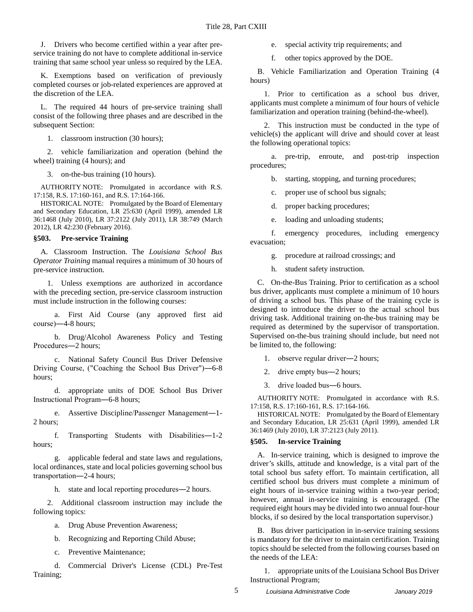J. Drivers who become certified within a year after preservice training do not have to complete additional in-service training that same school year unless so required by the LEA.

K. Exemptions based on verification of previously completed courses or job-related experiences are approved at the discretion of the LEA.

L. The required 44 hours of pre-service training shall consist of the following three phases and are described in the subsequent Section:

1. classroom instruction (30 hours);

2. vehicle familiarization and operation (behind the wheel) training (4 hours); and

3. on-the-bus training (10 hours).

AUTHORITY NOTE: Promulgated in accordance with R.S. 17:158, R.S. 17:160-161, and R.S. 17:164-166.

HISTORICAL NOTE: Promulgated by the Board of Elementary and Secondary Education, LR 25:630 (April 1999), amended LR 36:1468 (July 2010), LR 37:2122 (July 2011), LR 38:749 (March 2012), LR 42:230 (February 2016).

#### <span id="page-6-0"></span>**§503. Pre-service Training**

A. Classroom Instruction. The *Louisiana School Bus Operator Training* manual requires a minimum of 30 hours of pre-service instruction.

1. Unless exemptions are authorized in accordance with the preceding section, pre-service classroom instruction must include instruction in the following courses:

a. First Aid Course (any approved first aid course)―4-8 hours;

b. Drug/Alcohol Awareness Policy and Testing Procedures―2 hours;

c. National Safety Council Bus Driver Defensive Driving Course, ("Coaching the School Bus Driver")―6-8 hours;

d. appropriate units of DOE School Bus Driver Instructional Program―6-8 hours;

e. Assertive Discipline/Passenger Management―1- 2 hours;

f. Transporting Students with Disabilities―1-2 hours;

g. applicable federal and state laws and regulations, local ordinances, state and local policies governing school bus transportation―2-4 hours;

h. state and local reporting procedures—2 hours.

2. Additional classroom instruction may include the following topics:

a. Drug Abuse Prevention Awareness;

b. Recognizing and Reporting Child Abuse;

c. Preventive Maintenance;

d. Commercial Driver's License (CDL) Pre-Test Training;

e. special activity trip requirements; and

f. other topics approved by the DOE.

B. Vehicle Familiarization and Operation Training (4 hours)

1. Prior to certification as a school bus driver, applicants must complete a minimum of four hours of vehicle familiarization and operation training (behind-the-wheel).

2. This instruction must be conducted in the type of vehicle(s) the applicant will drive and should cover at least the following operational topics:

a. pre-trip, enroute, and post-trip inspection procedures;

b. starting, stopping, and turning procedures;

c. proper use of school bus signals;

d. proper backing procedures;

e. loading and unloading students;

f. emergency procedures, including emergency evacuation;

g. procedure at railroad crossings; and

h. student safety instruction.

C. On-the-Bus Training. Prior to certification as a school bus driver, applicants must complete a minimum of 10 hours of driving a school bus. This phase of the training cycle is designed to introduce the driver to the actual school bus driving task. Additional training on-the-bus training may be required as determined by the supervisor of transportation. Supervised on-the-bus training should include, but need not be limited to, the following:

1. observe regular driver―2 hours;

- 2. drive empty bus―2 hours;
- 3. drive loaded bus―6 hours.

AUTHORITY NOTE: Promulgated in accordance with R.S. 17:158, R.S. 17:160-161, R.S. 17:164-166.

HISTORICAL NOTE: Promulgated by the Board of Elementary and Secondary Education, LR 25:631 (April 1999), amended LR 36:1469 (July 2010), LR 37:2123 (July 2011).

#### <span id="page-6-1"></span>**§505. In-service Training**

A. In-service training, which is designed to improve the driver's skills, attitude and knowledge, is a vital part of the total school bus safety effort. To maintain certification, all certified school bus drivers must complete a minimum of eight hours of in-service training within a two-year period; however, annual in-service training is encouraged. (The required eight hours may be divided into two annual four-hour blocks, if so desired by the local transportation supervisor.)

B. Bus driver participation in in-service training sessions is mandatory for the driver to maintain certification. Training topics should be selected from the following courses based on the needs of the LEA:

1. appropriate units of the Louisiana School Bus Driver Instructional Program;

5 *Louisiana Administrative Code January 2019*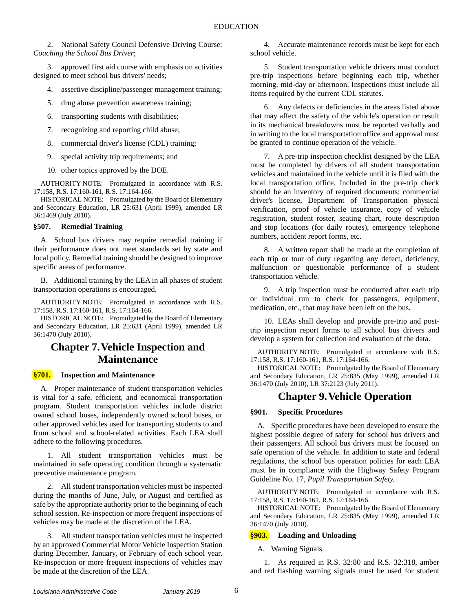2. National Safety Council Defensive Driving Course: *Coaching the School Bus Driver*;

3. approved first aid course with emphasis on activities designed to meet school bus drivers' needs;

- 4. assertive discipline/passenger management training;
- 5. drug abuse prevention awareness training;
- 6. transporting students with disabilities;
- 7. recognizing and reporting child abuse;
- 8. commercial driver's license (CDL) training;
- 9. special activity trip requirements; and
- 10. other topics approved by the DOE.

AUTHORITY NOTE: Promulgated in accordance with R.S. 17:158, R.S. 17:160-161, R.S. 17:164-166.

HISTORICAL NOTE: Promulgated by the Board of Elementary and Secondary Education, LR 25:631 (April 1999), amended LR 36:1469 (July 2010).

#### <span id="page-7-0"></span>**§507. Remedial Training**

A. School bus drivers may require remedial training if their performance does not meet standards set by state and local policy. Remedial training should be designed to improve specific areas of performance.

B. Additional training by the LEA in all phases of student transportation operations is encouraged.

AUTHORITY NOTE: Promulgated in accordance with R.S. 17:158, R.S. 17:160-161, R.S. 17:164-166.

HISTORICAL NOTE: Promulgated by the Board of Elementary and Secondary Education, LR 25:631 (April 1999), amended LR 36:1470 (July 2010).

## <span id="page-7-1"></span>**Chapter 7.Vehicle Inspection and Maintenance**

#### <span id="page-7-2"></span>**§701. Inspection and Maintenance**

A. Proper maintenance of student transportation vehicles is vital for a safe, efficient, and economical transportation program. Student transportation vehicles include district owned school buses, independently owned school buses, or other approved vehicles used for transporting students to and from school and school-related activities. Each LEA shall adhere to the following procedures.

1. All student transportation vehicles must be maintained in safe operating condition through a systematic preventive maintenance program.

2. All student transportation vehicles must be inspected during the months of June, July, or August and certified as safe by the appropriate authority prior to the beginning of each school session. Re-inspection or more frequent inspections of vehicles may be made at the discretion of the LEA.

3. All student transportation vehicles must be inspected by an approved Commercial Motor Vehicle Inspection Station during December, January, or February of each school year. Re-inspection or more frequent inspections of vehicles may be made at the discretion of the LEA.

4. Accurate maintenance records must be kept for each school vehicle.

5. Student transportation vehicle drivers must conduct pre-trip inspections before beginning each trip, whether morning, mid-day or afternoon. Inspections must include all items required by the current CDL statutes.

6. Any defects or deficiencies in the areas listed above that may affect the safety of the vehicle's operation or result in its mechanical breakdowns must be reported verbally and in writing to the local transportation office and approval must be granted to continue operation of the vehicle.

7. A pre-trip inspection checklist designed by the LEA must be completed by drivers of all student transportation vehicles and maintained in the vehicle until it is filed with the local transportation office. Included in the pre-trip check should be an inventory of required documents: commercial driver's license, Department of Transportation physical verification, proof of vehicle insurance, copy of vehicle registration, student roster, seating chart, route description and stop locations (for daily routes), emergency telephone numbers, accident report forms, etc.

8. A written report shall be made at the completion of each trip or tour of duty regarding any defect, deficiency, malfunction or questionable performance of a student transportation vehicle.

9. A trip inspection must be conducted after each trip or individual run to check for passengers, equipment, medication, etc., that may have been left on the bus.

10. LEAs shall develop and provide pre-trip and posttrip inspection report forms to all school bus drivers and develop a system for collection and evaluation of the data.

AUTHORITY NOTE: Promulgated in accordance with R.S. 17:158, R.S. 17:160-161, R.S. 17:164-166.

HISTORICAL NOTE: Promulgated by the Board of Elementary and Secondary Education, LR 25:835 (May 1999), amended LR 36:1470 (July 2010), LR 37:2123 (July 2011).

### **Chapter 9.Vehicle Operation**

#### <span id="page-7-4"></span><span id="page-7-3"></span>**§901. Specific Procedures**

A. Specific procedures have been developed to ensure the highest possible degree of safety for school bus drivers and their passengers. All school bus drivers must be focused on safe operation of the vehicle. In addition to state and federal regulations, the school bus operation policies for each LEA must be in compliance with the Highway Safety Program Guideline No. 17, *Pupil Transportation Safety.*

AUTHORITY NOTE: Promulgated in accordance with R.S. 17:158, R.S. 17:160-161, R.S. 17:164-166.

HISTORICAL NOTE: Promulgated by the Board of Elementary and Secondary Education, LR 25:835 (May 1999), amended LR 36:1470 (July 2010).

#### <span id="page-7-5"></span>**§903. Loading and Unloading**

#### A. Warning Signals

1. As required in R.S. 32:80 and R.S. 32:318, amber and red flashing warning signals must be used for student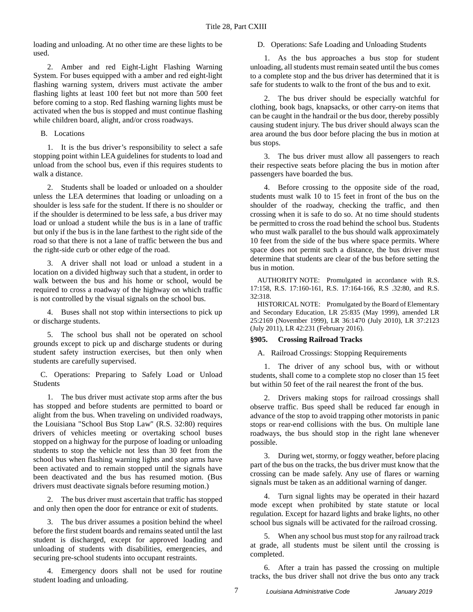loading and unloading. At no other time are these lights to be used.

2. Amber and red Eight-Light Flashing Warning System. For buses equipped with a amber and red eight-light flashing warning system, drivers must activate the amber flashing lights at least 100 feet but not more than 500 feet before coming to a stop. Red flashing warning lights must be activated when the bus is stopped and must continue flashing while children board, alight, and/or cross roadways.

B. Locations

1. It is the bus driver's responsibility to select a safe stopping point within LEA guidelines for students to load and unload from the school bus, even if this requires students to walk a distance.

2. Students shall be loaded or unloaded on a shoulder unless the LEA determines that loading or unloading on a shoulder is less safe for the student. If there is no shoulder or if the shoulder is determined to be less safe, a bus driver may load or unload a student while the bus is in a lane of traffic but only if the bus is in the lane farthest to the right side of the road so that there is not a lane of traffic between the bus and the right-side curb or other edge of the road.

3. A driver shall not load or unload a student in a location on a divided highway such that a student, in order to walk between the bus and his home or school, would be required to cross a roadway of the highway on which traffic is not controlled by the visual signals on the school bus.

4. Buses shall not stop within intersections to pick up or discharge students.

5. The school bus shall not be operated on school grounds except to pick up and discharge students or during student safety instruction exercises, but then only when students are carefully supervised.

C. Operations: Preparing to Safely Load or Unload Students

1. The bus driver must activate stop arms after the bus has stopped and before students are permitted to board or alight from the bus. When traveling on undivided roadways, the Louisiana "School Bus Stop Law" (R.S. 32:80) requires drivers of vehicles meeting or overtaking school buses stopped on a highway for the purpose of loading or unloading students to stop the vehicle not less than 30 feet from the school bus when flashing warning lights and stop arms have been activated and to remain stopped until the signals have been deactivated and the bus has resumed motion. (Bus drivers must deactivate signals before resuming motion.)

2. The bus driver must ascertain that traffic has stopped and only then open the door for entrance or exit of students.

3. The bus driver assumes a position behind the wheel before the first student boards and remains seated until the last student is discharged, except for approved loading and unloading of students with disabilities, emergencies, and securing pre-school students into occupant restraints.

4. Emergency doors shall not be used for routine student loading and unloading.

#### D. Operations: Safe Loading and Unloading Students

1. As the bus approaches a bus stop for student unloading, all students must remain seated until the bus comes to a complete stop and the bus driver has determined that it is safe for students to walk to the front of the bus and to exit.

2. The bus driver should be especially watchful for clothing, book bags, knapsacks, or other carry-on items that can be caught in the handrail or the bus door, thereby possibly causing student injury. The bus driver should always scan the area around the bus door before placing the bus in motion at bus stops.

3. The bus driver must allow all passengers to reach their respective seats before placing the bus in motion after passengers have boarded the bus.

4. Before crossing to the opposite side of the road, students must walk 10 to 15 feet in front of the bus on the shoulder of the roadway, checking the traffic, and then crossing when it is safe to do so. At no time should students be permitted to cross the road behind the school bus. Students who must walk parallel to the bus should walk approximately 10 feet from the side of the bus where space permits. Where space does not permit such a distance, the bus driver must determine that students are clear of the bus before setting the bus in motion.

AUTHORITY NOTE: Promulgated in accordance with R.S. 17:158, R.S. 17:160-161, R.S. 17:164-166, R.S .32:80, and R.S. 32:318.

HISTORICAL NOTE: Promulgated by the Board of Elementary and Secondary Education, LR 25:835 (May 1999), amended LR 25:2169 (November 1999), LR 36:1470 (July 2010), LR 37:2123 (July 2011), LR 42:231 (February 2016).

#### <span id="page-8-0"></span>**§905. Crossing Railroad Tracks**

A. Railroad Crossings: Stopping Requirements

1. The driver of any school bus, with or without students, shall come to a complete stop no closer than 15 feet but within 50 feet of the rail nearest the front of the bus.

2. Drivers making stops for railroad crossings shall observe traffic. Bus speed shall be reduced far enough in advance of the stop to avoid trapping other motorists in panic stops or rear-end collisions with the bus. On multiple lane roadways, the bus should stop in the right lane whenever possible.

3. During wet, stormy, or foggy weather, before placing part of the bus on the tracks, the bus driver must know that the crossing can be made safely. Any use of flares or warning signals must be taken as an additional warning of danger.

4. Turn signal lights may be operated in their hazard mode except when prohibited by state statute or local regulation. Except for hazard lights and brake lights, no other school bus signals will be activated for the railroad crossing.

5. When any school bus must stop for any railroad track at grade, all students must be silent until the crossing is completed.

6. After a train has passed the crossing on multiple tracks, the bus driver shall not drive the bus onto any track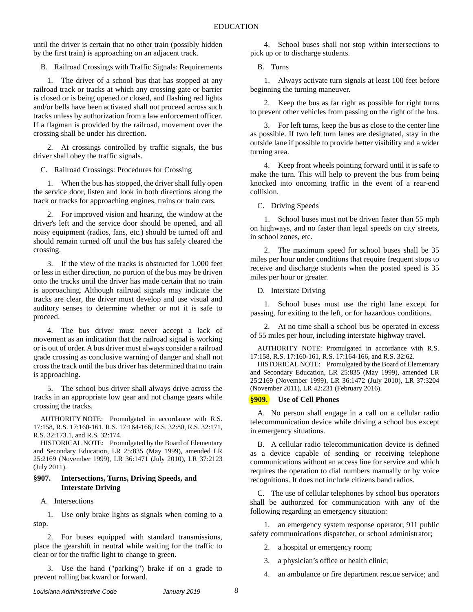until the driver is certain that no other train (possibly hidden by the first train) is approaching on an adjacent track.

B. Railroad Crossings with Traffic Signals: Requirements

1. The driver of a school bus that has stopped at any railroad track or tracks at which any crossing gate or barrier is closed or is being opened or closed, and flashing red lights and/or bells have been activated shall not proceed across such tracks unless by authorization from a law enforcement officer. If a flagman is provided by the railroad, movement over the crossing shall be under his direction.

2. At crossings controlled by traffic signals, the bus driver shall obey the traffic signals.

C. Railroad Crossings: Procedures for Crossing

1. When the bus has stopped, the driver shall fully open the service door, listen and look in both directions along the track or tracks for approaching engines, trains or train cars.

2. For improved vision and hearing, the window at the driver's left and the service door should be opened, and all noisy equipment (radios, fans, etc.) should be turned off and should remain turned off until the bus has safely cleared the crossing.

3. If the view of the tracks is obstructed for 1,000 feet or less in either direction, no portion of the bus may be driven onto the tracks until the driver has made certain that no train is approaching. Although railroad signals may indicate the tracks are clear, the driver must develop and use visual and auditory senses to determine whether or not it is safe to proceed.

4. The bus driver must never accept a lack of movement as an indication that the railroad signal is working or is out of order. A bus driver must always consider a railroad grade crossing as conclusive warning of danger and shall not cross the track until the bus driver has determined that no train is approaching.

5. The school bus driver shall always drive across the tracks in an appropriate low gear and not change gears while crossing the tracks.

AUTHORITY NOTE: Promulgated in accordance with R.S. 17:158, R.S. 17:160-161, R.S. 17:164-166, R.S. 32:80, R.S. 32:171, R.S. 32:173.1, and R.S. 32:174.

HISTORICAL NOTE: Promulgated by the Board of Elementary and Secondary Education, LR 25:835 (May 1999), amended LR 25:2169 (November 1999), LR 36:1471 (July 2010), LR 37:2123 (July 2011).

#### <span id="page-9-0"></span>**§907. Intersections, Turns, Driving Speeds, and Interstate Driving**

A. Intersections

1. Use only brake lights as signals when coming to a stop.

2. For buses equipped with standard transmissions, place the gearshift in neutral while waiting for the traffic to clear or for the traffic light to change to green.

3. Use the hand ("parking") brake if on a grade to prevent rolling backward or forward.

4. School buses shall not stop within intersections to pick up or to discharge students.

B. Turns

1. Always activate turn signals at least 100 feet before beginning the turning maneuver.

2. Keep the bus as far right as possible for right turns to prevent other vehicles from passing on the right of the bus.

3. For left turns, keep the bus as close to the center line as possible. If two left turn lanes are designated, stay in the outside lane if possible to provide better visibility and a wider turning area.

4. Keep front wheels pointing forward until it is safe to make the turn. This will help to prevent the bus from being knocked into oncoming traffic in the event of a rear-end collision.

C. Driving Speeds

1. School buses must not be driven faster than 55 mph on highways, and no faster than legal speeds on city streets, in school zones, etc.

2. The maximum speed for school buses shall be 35 miles per hour under conditions that require frequent stops to receive and discharge students when the posted speed is 35 miles per hour or greater.

D. Interstate Driving

1. School buses must use the right lane except for passing, for exiting to the left, or for hazardous conditions.

2. At no time shall a school bus be operated in excess of 55 miles per hour, including interstate highway travel.

AUTHORITY NOTE: Promulgated in accordance with R.S. 17:158, R.S. 17:160-161, R.S. 17:164-166, and R.S. 32:62.

HISTORICAL NOTE: Promulgated by the Board of Elementary and Secondary Education, LR 25:835 (May 1999), amended LR 25:2169 (November 1999), LR 36:1472 (July 2010), LR 37:3204 (November 2011), LR 42:231 (February 2016).

#### <span id="page-9-1"></span>**§909. Use of Cell Phones**

A. No person shall engage in a call on a cellular radio telecommunication device while driving a school bus except in emergency situations.

B. A cellular radio telecommunication device is defined as a device capable of sending or receiving telephone communications without an access line for service and which requires the operation to dial numbers manually or by voice recognitions. It does not include citizens band radios.

C. The use of cellular telephones by school bus operators shall be authorized for communication with any of the following regarding an emergency situation:

1. an emergency system response operator, 911 public safety communications dispatcher, or school administrator;

2. a hospital or emergency room;

3. a physician's office or health clinic;

4. an ambulance or fire department rescue service; and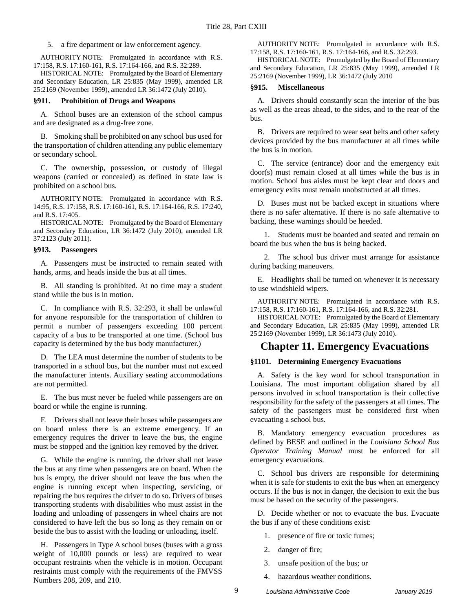5. a fire department or law enforcement agency.

AUTHORITY NOTE: Promulgated in accordance with R.S. 17:158, R.S. 17:160-161, R.S. 17:164-166, and R.S. 32:289.

HISTORICAL NOTE: Promulgated by the Board of Elementary and Secondary Education, LR 25:835 (May 1999), amended LR 25:2169 (November 1999), amended LR 36:1472 (July 2010).

#### <span id="page-10-0"></span>**§911. Prohibition of Drugs and Weapons**

A. School buses are an extension of the school campus and are designated as a drug-free zone.

B. Smoking shall be prohibited on any school bus used for the transportation of children attending any public elementary or secondary school.

C. The ownership, possession, or custody of illegal weapons (carried or concealed) as defined in state law is prohibited on a school bus.

AUTHORITY NOTE: Promulgated in accordance with R.S. 14:95, R.S. 17:158, R.S. 17:160-161, R.S. 17:164-166, R.S. 17:240, and R.S. 17:405.

HISTORICAL NOTE: Promulgated by the Board of Elementary and Secondary Education, LR 36:1472 (July 2010), amended LR 37:2123 (July 2011).

#### <span id="page-10-1"></span>**§913. Passengers**

A. Passengers must be instructed to remain seated with hands, arms, and heads inside the bus at all times.

B. All standing is prohibited. At no time may a student stand while the bus is in motion.

C. In compliance with R.S. 32:293, it shall be unlawful for anyone responsible for the transportation of children to permit a number of passengers exceeding 100 percent capacity of a bus to be transported at one time. (School bus capacity is determined by the bus body manufacturer.)

D. The LEA must determine the number of students to be transported in a school bus, but the number must not exceed the manufacturer intents. Auxiliary seating accommodations are not permitted.

E. The bus must never be fueled while passengers are on board or while the engine is running.

F. Drivers shall not leave their buses while passengers are on board unless there is an extreme emergency. If an emergency requires the driver to leave the bus, the engine must be stopped and the ignition key removed by the driver.

G. While the engine is running, the driver shall not leave the bus at any time when passengers are on board. When the bus is empty, the driver should not leave the bus when the engine is running except when inspecting, servicing, or repairing the bus requires the driver to do so. Drivers of buses transporting students with disabilities who must assist in the loading and unloading of passengers in wheel chairs are not considered to have left the bus so long as they remain on or beside the bus to assist with the loading or unloading, itself.

H. Passengers in Type A school buses (buses with a gross weight of 10,000 pounds or less) are required to wear occupant restraints when the vehicle is in motion. Occupant restraints must comply with the requirements of the FMVSS Numbers 208, 209, and 210.

AUTHORITY NOTE: Promulgated in accordance with R.S. 17:158, R.S. 17:160-161, R.S. 17:164-166, and R.S. 32:293.

HISTORICAL NOTE: Promulgated by the Board of Elementary and Secondary Education, LR 25:835 (May 1999), amended LR 25:2169 (November 1999), LR 36:1472 (July 2010

#### <span id="page-10-2"></span>**§915. Miscellaneous**

A. Drivers should constantly scan the interior of the bus as well as the areas ahead, to the sides, and to the rear of the bus.

B. Drivers are required to wear seat belts and other safety devices provided by the bus manufacturer at all times while the bus is in motion.

C. The service (entrance) door and the emergency exit door(s) must remain closed at all times while the bus is in motion. School bus aisles must be kept clear and doors and emergency exits must remain unobstructed at all times.

D. Buses must not be backed except in situations where there is no safer alternative. If there is no safe alternative to backing, these warnings should be heeded.

1. Students must be boarded and seated and remain on board the bus when the bus is being backed.

2. The school bus driver must arrange for assistance during backing maneuvers.

E. Headlights shall be turned on whenever it is necessary to use windshield wipers.

AUTHORITY NOTE: Promulgated in accordance with R.S. 17:158, R.S. 17:160-161, R.S. 17:164-166, and R.S. 32:281.

HISTORICAL NOTE: Promulgated by the Board of Elementary and Secondary Education, LR 25:835 (May 1999), amended LR 25:2169 (November 1999), LR 36:1473 (July 2010).

### <span id="page-10-3"></span>**Chapter 11. Emergency Evacuations**

#### <span id="page-10-4"></span>**§1101. Determining Emergency Evacuations**

A. Safety is the key word for school transportation in Louisiana. The most important obligation shared by all persons involved in school transportation is their collective responsibility for the safety of the passengers at all times. The safety of the passengers must be considered first when evacuating a school bus.

B. Mandatory emergency evacuation procedures as defined by BESE and outlined in the *Louisiana School Bus Operator Training Manual* must be enforced for all emergency evacuations.

C. School bus drivers are responsible for determining when it is safe for students to exit the bus when an emergency occurs. If the bus is not in danger, the decision to exit the bus must be based on the security of the passengers.

D. Decide whether or not to evacuate the bus. Evacuate the bus if any of these conditions exist:

- 1. presence of fire or toxic fumes;
- 2. danger of fire;
- 3. unsafe position of the bus; or
- 4. hazardous weather conditions.

9 *Louisiana Administrative Code January 2019*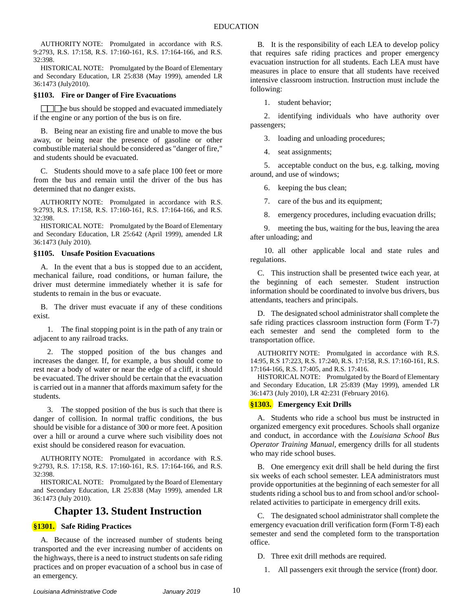AUTHORITY NOTE: Promulgated in accordance with R.S. 9:2793, R.S. 17:158, R.S. 17:160-161, R.S. 17:164-166, and R.S. 32:398.

HISTORICAL NOTE: Promulgated by the Board of Elementary and Secondary Education, LR 25:838 (May 1999), amended LR 36:1473 (July2010).

#### <span id="page-11-0"></span>**§1103. Fire or Danger of Fire Evacuations**

**h** the bus should be stopped and evacuated immediately if the engine or any portion of the bus is on fire.

B. Being near an existing fire and unable to move the bus away, or being near the presence of gasoline or other combustible material should be considered as "danger of fire," and students should be evacuated.

C. Students should move to a safe place 100 feet or more from the bus and remain until the driver of the bus has determined that no danger exists.

AUTHORITY NOTE: Promulgated in accordance with R.S. 9:2793, R.S. 17:158, R.S. 17:160-161, R.S. 17:164-166, and R.S. 32:398.

HISTORICAL NOTE: Promulgated by the Board of Elementary and Secondary Education, LR 25:642 (April 1999), amended LR 36:1473 (July 2010).

#### <span id="page-11-1"></span>**§1105. Unsafe Position Evacuations**

A. In the event that a bus is stopped due to an accident, mechanical failure, road conditions, or human failure, the driver must determine immediately whether it is safe for students to remain in the bus or evacuate.

B. The driver must evacuate if any of these conditions exist.

1. The final stopping point is in the path of any train or adjacent to any railroad tracks.

2. The stopped position of the bus changes and increases the danger. If, for example, a bus should come to rest near a body of water or near the edge of a cliff, it should be evacuated. The driver should be certain that the evacuation is carried out in a manner that affords maximum safety for the students.

3. The stopped position of the bus is such that there is danger of collision. In normal traffic conditions, the bus should be visible for a distance of 300 or more feet. A position over a hill or around a curve where such visibility does not exist should be considered reason for evacuation.

AUTHORITY NOTE: Promulgated in accordance with R.S. 9:2793, R.S. 17:158, R.S. 17:160-161, R.S. 17:164-166, and R.S. 32:398.

HISTORICAL NOTE: Promulgated by the Board of Elementary and Secondary Education, LR 25:838 (May 1999), amended LR 36:1473 (July 2010).

### **Chapter 13. Student Instruction**

#### <span id="page-11-3"></span><span id="page-11-2"></span>**§1301. Safe Riding Practices**

A. Because of the increased number of students being transported and the ever increasing number of accidents on the highways, there is a need to instruct students on safe riding practices and on proper evacuation of a school bus in case of an emergency.

B*.* It is the responsibility of each LEA to develop policy that requires safe riding practices and proper emergency evacuation instruction for all students. Each LEA must have measures in place to ensure that all students have received intensive classroom instruction. Instruction must include the following:

1. student behavior;

2. identifying individuals who have authority over passengers;

3. loading and unloading procedures;

4. seat assignments;

5. acceptable conduct on the bus, e.g. talking, moving around, and use of windows;

6. keeping the bus clean;

7. care of the bus and its equipment;

8. emergency procedures, including evacuation drills;

9. meeting the bus, waiting for the bus, leaving the area after unloading; and

10. all other applicable local and state rules and regulations.

C. This instruction shall be presented twice each year, at the beginning of each semester. Student instruction information should be coordinated to involve bus drivers, bus attendants, teachers and principals.

D. The designated school administrator shall complete the safe riding practices classroom instruction form (Form T-7) each semester and send the completed form to the transportation office.

AUTHORITY NOTE: Promulgated in accordance with R.S. 14:95, R.S 17:223, R.S. 17:240, R.S. 17:158, R.S. 17:160-161, R.S. 17:164-166, R.S. 17:405, and R.S. 17:416.

HISTORICAL NOTE: Promulgated by the Board of Elementary and Secondary Education, LR 25:839 (May 1999), amended LR 36:1473 (July 2010), LR 42:231 (February 2016).

#### <span id="page-11-4"></span>**§1303. Emergency Exit Drills**

A. Students who ride a school bus must be instructed in organized emergency exit procedures. Schools shall organize and conduct, in accordance with the *Louisiana School Bus Operator Training Manual*, emergency drills for all students who may ride school buses.

B. One emergency exit drill shall be held during the first six weeks of each school semester. LEA administrators must provide opportunities at the beginning of each semester for all students riding a school bus to and from school and/or schoolrelated activities to participate in emergency drill exits.

C. The designated school administrator shall complete the emergency evacuation drill verification form (Form T-8) each semester and send the completed form to the transportation office.

D. Three exit drill methods are required.

1. All passengers exit through the service (front) door.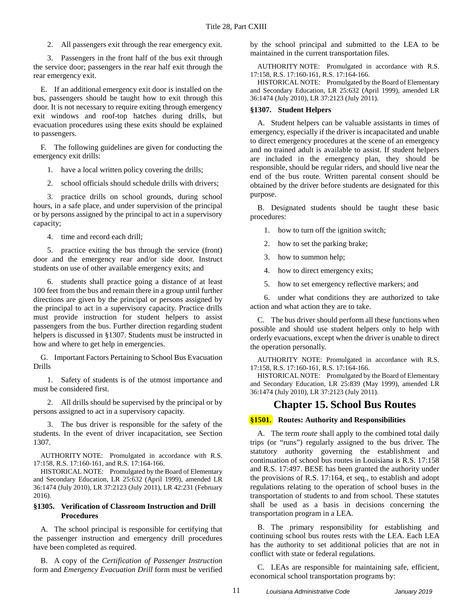2. All passengers exit through the rear emergency exit.

3. Passengers in the front half of the bus exit through the service door; passengers in the rear half exit through the rear emergency exit.

E. If an additional emergency exit door is installed on the bus, passengers should be taught how to exit through this door. It is not necessary to require exiting through emergency exit windows and roof-top hatches during drills, but evacuation procedures using these exits should be explained to passengers.

F. The following guidelines are given for conducting the emergency exit drills:

1. have a local written policy covering the drills;

2. school officials should schedule drills with drivers;

3. practice drills on school grounds, during school hours, in a safe place, and under supervision of the principal or by persons assigned by the principal to act in a supervisory capacity;

4. time and record each drill;

5. practice exiting the bus through the service (front) door and the emergency rear and/or side door. Instruct students on use of other available emergency exits; and

6. students shall practice going a distance of at least 100 feet from the bus and remain there in a group until further directions are given by the principal or persons assigned by the principal to act in a supervisory capacity. Practice drills must provide instruction for student helpers to assist passengers from the bus. Further direction regarding student helpers is discussed in §1307. Students must be instructed in how and where to get help in emergencies.

G. Important Factors Pertaining to School Bus Evacuation Drills

1. Safety of students is of the utmost importance and must be considered first.

2. All drills should be supervised by the principal or by persons assigned to act in a supervisory capacity.

3. The bus driver is responsible for the safety of the students. In the event of driver incapacitation, see Section 1307.

AUTHORITY NOTE: Promulgated in accordance with R.S. 17:158, R.S. 17:160-161, and R.S. 17:164-166.

HISTORICAL NOTE: Promulgated by the Board of Elementary and Secondary Education, LR 25:632 (April 1999), amended LR 36:1474 (July 2010), LR 37:2123 (July 2011), LR 42:231 (February 2016).

#### <span id="page-12-0"></span>**§1305. Verification of Classroom Instruction and Drill Procedures**

A. The school principal is responsible for certifying that the passenger instruction and emergency drill procedures have been completed as required.

B. A copy of the *Certification of Passenger Instruction* form and *Emergency Evacuation Drill* form must be verified

by the school principal and submitted to the LEA to be maintained in the current transportation files.

AUTHORITY NOTE: Promulgated in accordance with R.S. 17:158, R.S. 17:160-161, R.S. 17:164-166.

HISTORICAL NOTE: Promulgated by the Board of Elementary and Secondary Education, LR 25:632 (April 1999), amended LR 36:1474 (July 2010), LR 37:2123 (July 2011).

#### <span id="page-12-1"></span>**§1307. Student Helpers**

A. Student helpers can be valuable assistants in times of emergency, especially if the driver is incapacitated and unable to direct emergency procedures at the scene of an emergency and no trained adult is available to assist. If student helpers are included in the emergency plan, they should be responsible, should be regular riders, and should live near the end of the bus route. Written parental consent should be obtained by the driver before students are designated for this purpose.

B. Designated students should be taught these basic procedures:

- 1. how to turn off the ignition switch;
- 2. how to set the parking brake;
- 3. how to summon help;
- 4. how to direct emergency exits;
- 5. how to set emergency reflective markers; and

6. under what conditions they are authorized to take action and what action they are to take.

C. The bus driver should perform all these functions when possible and should use student helpers only to help with orderly evacuations, except when the driver is unable to direct the operation personally.

AUTHORITY NOTE: Promulgated in accordance with R.S. 17:158, R.S. 17:160-161, R.S. 17:164-166.

HISTORICAL NOTE: Promulgated by the Board of Elementary and Secondary Education, LR 25:839 (May 1999), amended LR 36:1474 (July 2010), LR 37:2123 (July 2011).

### **Chapter 15. School Bus Routes**

### <span id="page-12-3"></span><span id="page-12-2"></span>**§1501. Routes: Authority and Responsibilities**

A. The term *route* shall apply to the combined total daily trips (or "runs") regularly assigned to the bus driver. The statutory authority governing the establishment and continuation of school bus routes in Louisiana is R.S. 17:158 and R.S. 17:497. BESE has been granted the authority under the provisions of R.S. 17:164, et seq., to establish and adopt regulations relating to the operation of school buses in the transportation of students to and from school. These statutes shall be used as a basis in decisions concerning the transportation program in a LEA.

B. The primary responsibility for establishing and continuing school bus routes rests with the LEA. Each LEA has the authority to set additional policies that are not in conflict with state or federal regulations.

C. LEAs are responsible for maintaining safe, efficient, economical school transportation programs by: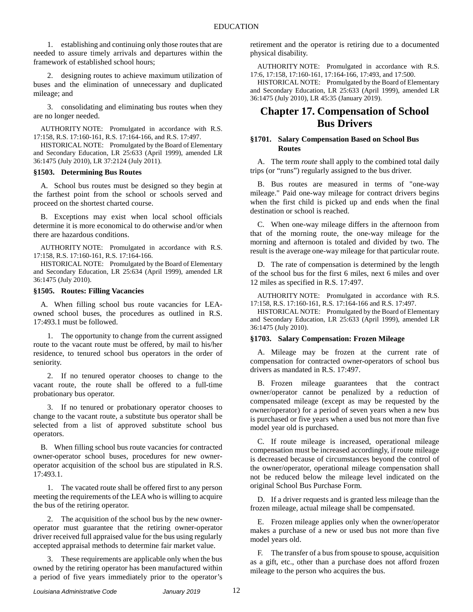1. establishing and continuing only those routes that are needed to assure timely arrivals and departures within the framework of established school hours;

2. designing routes to achieve maximum utilization of buses and the elimination of unnecessary and duplicated mileage; and

3. consolidating and eliminating bus routes when they are no longer needed.

AUTHORITY NOTE: Promulgated in accordance with R.S. 17:158, R.S. 17:160-161, R.S. 17:164-166, and R.S. 17:497.

HISTORICAL NOTE: Promulgated by the Board of Elementary and Secondary Education, LR 25:633 (April 1999), amended LR 36:1475 (July 2010), LR 37:2124 (July 2011).

#### <span id="page-13-0"></span>**§1503. Determining Bus Routes**

A. School bus routes must be designed so they begin at the farthest point from the school or schools served and proceed on the shortest charted course.

B. Exceptions may exist when local school officials determine it is more economical to do otherwise and/or when there are hazardous conditions.

AUTHORITY NOTE: Promulgated in accordance with R.S. 17:158, R.S. 17:160-161, R.S. 17:164-166.

HISTORICAL NOTE: Promulgated by the Board of Elementary and Secondary Education, LR 25:634 (April 1999), amended LR 36:1475 (July 2010).

#### <span id="page-13-1"></span>**§1505. Routes: Filling Vacancies**

A. When filling school bus route vacancies for LEAowned school buses, the procedures as outlined in R.S. 17:493.1 must be followed.

1. The opportunity to change from the current assigned route to the vacant route must be offered, by mail to his/her residence, to tenured school bus operators in the order of seniority.

2. If no tenured operator chooses to change to the vacant route, the route shall be offered to a full-time probationary bus operator.

3. If no tenured or probationary operator chooses to change to the vacant route, a substitute bus operator shall be selected from a list of approved substitute school bus operators.

B. When filling school bus route vacancies for contracted owner-operator school buses, procedures for new owneroperator acquisition of the school bus are stipulated in R.S. 17:493.1.

1. The vacated route shall be offered first to any person meeting the requirements of the LEA who is willing to acquire the bus of the retiring operator.

2. The acquisition of the school bus by the new owneroperator must guarantee that the retiring owner-operator driver received full appraised value for the bus using regularly accepted appraisal methods to determine fair market value.

3. These requirements are applicable only when the bus owned by the retiring operator has been manufactured within a period of five years immediately prior to the operator's

retirement and the operator is retiring due to a documented physical disability.

AUTHORITY NOTE: Promulgated in accordance with R.S. 17:6, 17:158, 17:160-161, 17:164-166, 17:493, and 17:500.

HISTORICAL NOTE: Promulgated by the Board of Elementary and Secondary Education, LR 25:633 (April 1999), amended LR 36:1475 (July 2010), LR 45:35 (January 2019).

### <span id="page-13-2"></span>**Chapter 17. Compensation of School Bus Drivers**

#### <span id="page-13-3"></span>**§1701. Salary Compensation Based on School Bus Routes**

A. The term *route* shall apply to the combined total daily trips (or "runs") regularly assigned to the bus driver.

B. Bus routes are measured in terms of "one-way mileage." Paid one-way mileage for contract drivers begins when the first child is picked up and ends when the final destination or school is reached.

C. When one-way mileage differs in the afternoon from that of the morning route, the one-way mileage for the morning and afternoon is totaled and divided by two. The result is the average one-way mileage for that particular route.

D. The rate of compensation is determined by the length of the school bus for the first 6 miles, next 6 miles and over 12 miles as specified in R.S. 17:497.

AUTHORITY NOTE: Promulgated in accordance with R.S. 17:158, R.S. 17:160-161, R.S. 17:164-166 and R.S. 17:497.

HISTORICAL NOTE: Promulgated by the Board of Elementary and Secondary Education, LR 25:633 (April 1999), amended LR 36:1475 (July 2010).

#### <span id="page-13-4"></span>**§1703. Salary Compensation: Frozen Mileage**

A. Mileage may be frozen at the current rate of compensation for contracted owner-operators of school bus drivers as mandated in R.S. 17:497.

B. Frozen mileage guarantees that the contract owner/operator cannot be penalized by a reduction of compensated mileage (except as may be requested by the owner/operator) for a period of seven years when a new bus is purchased or five years when a used bus not more than five model year old is purchased.

C. If route mileage is increased, operational mileage compensation must be increased accordingly, if route mileage is decreased because of circumstances beyond the control of the owner/operator, operational mileage compensation shall not be reduced below the mileage level indicated on the original School Bus Purchase Form.

D. If a driver requests and is granted less mileage than the frozen mileage, actual mileage shall be compensated.

E. Frozen mileage applies only when the owner/operator makes a purchase of a new or used bus not more than five model years old.

F. The transfer of a bus from spouse to spouse, acquisition as a gift, etc., other than a purchase does not afford frozen mileage to the person who acquires the bus.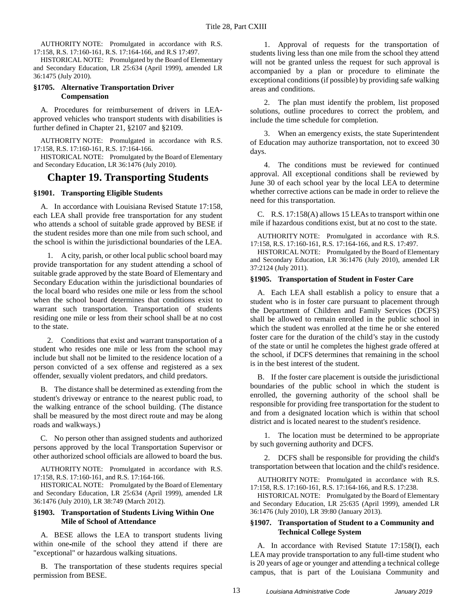AUTHORITY NOTE: Promulgated in accordance with R.S. 17:158, R.S. 17:160-161, R.S. 17:164-166, and R.S 17:497.

HISTORICAL NOTE: Promulgated by the Board of Elementary and Secondary Education, LR 25:634 (April 1999), amended LR 36:1475 (July 2010).

#### <span id="page-14-0"></span>**§1705. Alternative Transportation Driver Compensation**

A. Procedures for reimbursement of drivers in LEAapproved vehicles who transport students with disabilities is further defined in Chapter 21, §2107 and §2109.

AUTHORITY NOTE: Promulgated in accordance with R.S. 17:158, R.S. 17:160-161, R.S. 17:164-166.

HISTORICAL NOTE: Promulgated by the Board of Elementary and Secondary Education, LR 36:1476 (July 2010).

### <span id="page-14-1"></span>**Chapter 19. Transporting Students**

#### <span id="page-14-2"></span>**§1901. Transporting Eligible Students**

A. In accordance with Louisiana Revised Statute 17:158, each LEA shall provide free transportation for any student who attends a school of suitable grade approved by BESE if the student resides more than one mile from such school, and the school is within the jurisdictional boundaries of the LEA.

1. A city, parish, or other local public school board may provide transportation for any student attending a school of suitable grade approved by the state Board of Elementary and Secondary Education within the jurisdictional boundaries of the local board who resides one mile or less from the school when the school board determines that conditions exist to warrant such transportation. Transportation of students residing one mile or less from their school shall be at no cost to the state.

2. Conditions that exist and warrant transportation of a student who resides one mile or less from the school may include but shall not be limited to the residence location of a person convicted of a sex offense and registered as a sex offender, sexually violent predators, and child predators.

B. The distance shall be determined as extending from the student's driveway or entrance to the nearest public road, to the walking entrance of the school building. (The distance shall be measured by the most direct route and may be along roads and walkways.)

C. No person other than assigned students and authorized persons approved by the local Transportation Supervisor or other authorized school officials are allowed to board the bus.

AUTHORITY NOTE: Promulgated in accordance with R.S. 17:158, R.S. 17:160-161, and R.S. 17:164-166.

HISTORICAL NOTE: Promulgated by the Board of Elementary and Secondary Education, LR 25:634 (April 1999), amended LR 36:1476 (July 2010), LR 38:749 (March 2012).

#### <span id="page-14-3"></span>**§1903. Transportation of Students Living Within One Mile of School of Attendance**

A. BESE allows the LEA to transport students living within one-mile of the school they attend if there are "exceptional" or hazardous walking situations.

B. The transportation of these students requires special permission from BESE.

1. Approval of requests for the transportation of students living less than one mile from the school they attend will not be granted unless the request for such approval is accompanied by a plan or procedure to eliminate the exceptional conditions (if possible) by providing safe walking areas and conditions.

2. The plan must identify the problem, list proposed solutions, outline procedures to correct the problem, and include the time schedule for completion.

3. When an emergency exists, the state Superintendent of Education may authorize transportation, not to exceed 30 days.

4. The conditions must be reviewed for continued approval. All exceptional conditions shall be reviewed by June 30 of each school year by the local LEA to determine whether corrective actions can be made in order to relieve the need for this transportation.

C. R.S. 17:158(A) allows 15 LEAs to transport within one mile if hazardous conditions exist, but at no cost to the state.

AUTHORITY NOTE: Promulgated in accordance with R.S. 17:158, R.S. 17:160-161, R.S. 17:164-166, and R.S. 17:497.

HISTORICAL NOTE: Promulgated by the Board of Elementary and Secondary Education, LR 36:1476 (July 2010), amended LR 37:2124 (July 2011).

#### <span id="page-14-4"></span>**§1905. Transportation of Student in Foster Care**

A. Each LEA shall establish a policy to ensure that a student who is in foster care pursuant to placement through the Department of Children and Family Services (DCFS) shall be allowed to remain enrolled in the public school in which the student was enrolled at the time he or she entered foster care for the duration of the child's stay in the custody of the state or until he completes the highest grade offered at the school, if DCFS determines that remaining in the school is in the best interest of the student.

B. If the foster care placement is outside the jurisdictional boundaries of the public school in which the student is enrolled, the governing authority of the school shall be responsible for providing free transportation for the student to and from a designated location which is within that school district and is located nearest to the student's residence.

1. The location must be determined to be appropriate by such governing authority and DCFS.

2. DCFS shall be responsible for providing the child's transportation between that location and the child's residence.

AUTHORITY NOTE: Promulgated in accordance with R.S. 17:158, R.S. 17:160-161, R.S. 17:164-166, and R.S. 17:238.

HISTORICAL NOTE: Promulgated by the Board of Elementary and Secondary Education, LR 25:635 (April 1999), amended LR 36:1476 (July 2010), LR 39:80 (January 2013).

#### <span id="page-14-5"></span>**§1907. Transportation of Student to a Community and Technical College System**

A. In accordance with Revised Statute 17:158(I), each LEA may provide transportation to any full-time student who is 20 years of age or younger and attending a technical college campus, that is part of the Louisiana Community and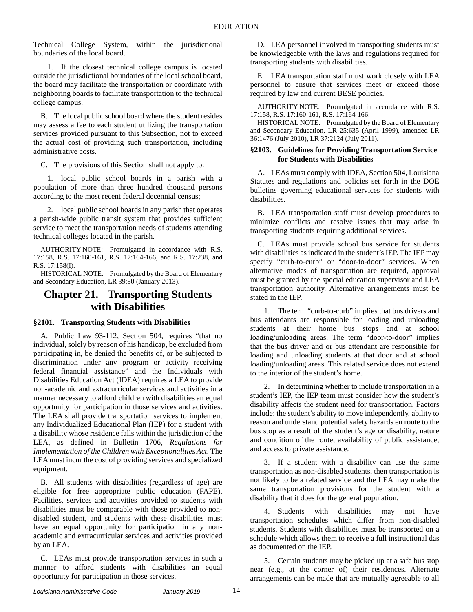Technical College System, within the jurisdictional boundaries of the local board.

1. If the closest technical college campus is located outside the jurisdictional boundaries of the local school board, the board may facilitate the transportation or coordinate with neighboring boards to facilitate transportation to the technical college campus.

B. The local public school board where the student resides may assess a fee to each student utilizing the transportation services provided pursuant to this Subsection, not to exceed the actual cost of providing such transportation, including administrative costs.

C. The provisions of this Section shall not apply to:

1. local public school boards in a parish with a population of more than three hundred thousand persons according to the most recent federal decennial census;

2. local public school boards in any parish that operates a parish-wide public transit system that provides sufficient service to meet the transportation needs of students attending technical colleges located in the parish.

AUTHORITY NOTE: Promulgated in accordance with R.S. 17:158, R.S. 17:160-161, R.S. 17:164-166, and R.S. 17:238, and R.S. 17:158(I).

HISTORICAL NOTE: Promulgated by the Board of Elementary and Secondary Education, LR 39:80 (January 2013).

# <span id="page-15-0"></span>**Chapter 21. Transporting Students with Disabilities**

#### <span id="page-15-1"></span>**§2101. Transporting Students with Disabilities**

A. Public Law 93-112, Section 504, requires "that no individual, solely by reason of his handicap, be excluded from participating in, be denied the benefits of, or be subjected to discrimination under any program or activity receiving federal financial assistance" and the Individuals with Disabilities Education Act (IDEA) requires a LEA to provide non-academic and extracurricular services and activities in a manner necessary to afford children with disabilities an equal opportunity for participation in those services and activities. The LEA shall provide transportation services to implement any Individualized Educational Plan (IEP) for a student with a disability whose residence falls within the jurisdiction of the LEA, as defined in Bulletin 1706, *Regulations for Implementation of the Children with Exceptionalities Act*. The LEA must incur the cost of providing services and specialized equipment.

B. All students with disabilities (regardless of age) are eligible for free appropriate public education (FAPE). Facilities, services and activities provided to students with disabilities must be comparable with those provided to nondisabled student, and students with these disabilities must have an equal opportunity for participation in any nonacademic and extracurricular services and activities provided by an LEA.

C. LEAs must provide transportation services in such a manner to afford students with disabilities an equal opportunity for participation in those services.

D. LEA personnel involved in transporting students must be knowledgeable with the laws and regulations required for transporting students with disabilities.

E. LEA transportation staff must work closely with LEA personnel to ensure that services meet or exceed those required by law and current BESE policies.

AUTHORITY NOTE: Promulgated in accordance with R.S. 17:158, R.S. 17:160-161, R.S. 17:164-166.

HISTORICAL NOTE: Promulgated by the Board of Elementary and Secondary Education, LR 25:635 (April 1999), amended LR 36:1476 (July 2010), LR 37:2124 (July 2011).

#### <span id="page-15-2"></span>**§2103. Guidelines for Providing Transportation Service for Students with Disabilities**

A. LEAs must comply with IDEA, Section 504, Louisiana Statutes and regulations and policies set forth in the DOE bulletins governing educational services for students with disabilities.

B. LEA transportation staff must develop procedures to minimize conflicts and resolve issues that may arise in transporting students requiring additional services.

C. LEAs must provide school bus service for students with disabilities as indicated in the student's IEP. The IEP may specify "curb-to-curb" or "door-to-door" services. When alternative modes of transportation are required, approval must be granted by the special education supervisor and LEA transportation authority. Alternative arrangements must be stated in the IEP.

1. The term "curb-to-curb" implies that bus drivers and bus attendants are responsible for loading and unloading students at their home bus stops and at school loading/unloading areas. The term "door-to-door" implies that the bus driver and or bus attendant are responsible for loading and unloading students at that door and at school loading/unloading areas. This related service does not extend to the interior of the student's home.

2. In determining whether to include transportation in a student's IEP, the IEP team must consider how the student's disability affects the student need for transportation. Factors include: the student's ability to move independently, ability to reason and understand potential safety hazards en route to the bus stop as a result of the student's age or disability, nature and condition of the route, availability of public assistance, and access to private assistance.

3. If a student with a disability can use the same transportation as non-disabled students, then transportation is not likely to be a related service and the LEA may make the same transportation provisions for the student with a disability that it does for the general population.

4. Students with disabilities may not have transportation schedules which differ from non-disabled students. Students with disabilities must be transported on a schedule which allows them to receive a full instructional das as documented on the IEP.

5. Certain students may be picked up at a safe bus stop near (e.g., at the corner of) their residences. Alternate arrangements can be made that are mutually agreeable to all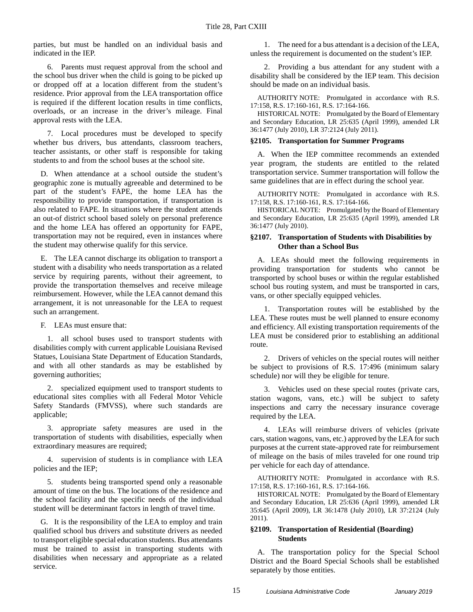parties, but must be handled on an individual basis and indicated in the IEP.

6. Parents must request approval from the school and the school bus driver when the child is going to be picked up or dropped off at a location different from the student's residence. Prior approval from the LEA transportation office is required if the different location results in time conflicts, overloads, or an increase in the driver's mileage. Final approval rests with the LEA.

7. Local procedures must be developed to specify whether bus drivers, bus attendants, classroom teachers, teacher assistants, or other staff is responsible for taking students to and from the school buses at the school site.

D. When attendance at a school outside the student's geographic zone is mutually agreeable and determined to be part of the student's FAPE, the home LEA has the responsibility to provide transportation, if transportation is also related to FAPE. In situations where the student attends an out-of district school based solely on personal preference and the home LEA has offered an opportunity for FAPE, transportation may not be required, even in instances where the student may otherwise qualify for this service.

E. The LEA cannot discharge its obligation to transport a student with a disability who needs transportation as a related service by requiring parents, without their agreement, to provide the transportation themselves and receive mileage reimbursement. However, while the LEA cannot demand this arrangement, it is not unreasonable for the LEA to request such an arrangement.

F. LEAs must ensure that:

1. all school buses used to transport students with disabilities comply with current applicable Louisiana Revised Statues, Louisiana State Department of Education Standards, and with all other standards as may be established by governing authorities;

2. specialized equipment used to transport students to educational sites complies with all Federal Motor Vehicle Safety Standards (FMVSS), where such standards are applicable;

3. appropriate safety measures are used in the transportation of students with disabilities, especially when extraordinary measures are required;

4. supervision of students is in compliance with LEA policies and the IEP;

5. students being transported spend only a reasonable amount of time on the bus. The locations of the residence and the school facility and the specific needs of the individual student will be determinant factors in length of travel time.

G. It is the responsibility of the LEA to employ and train qualified school bus drivers and substitute drivers as needed to transport eligible special education students. Bus attendants must be trained to assist in transporting students with disabilities when necessary and appropriate as a related service.

1. The need for a bus attendant is a decision of the LEA, unless the requirement is documented on the student's IEP.

2. Providing a bus attendant for any student with a disability shall be considered by the IEP team. This decision should be made on an individual basis.

AUTHORITY NOTE: Promulgated in accordance with R.S. 17:158, R.S. 17:160-161, R.S. 17:164-166.

HISTORICAL NOTE: Promulgated by the Board of Elementary and Secondary Education, LR 25:635 (April 1999), amended LR 36:1477 (July 2010), LR 37:2124 (July 2011).

#### <span id="page-16-0"></span>**§2105. Transportation for Summer Programs**

A. When the IEP committee recommends an extended year program, the students are entitled to the related transportation service. Summer transportation will follow the same guidelines that are in effect during the school year.

AUTHORITY NOTE: Promulgated in accordance with R.S. 17:158, R.S. 17:160-161, R.S. 17:164-166.

HISTORICAL NOTE: Promulgated by the Board of Elementary and Secondary Education, LR 25:635 (April 1999), amended LR 36:1477 (July 2010).

#### <span id="page-16-1"></span>**§2107. Transportation of Students with Disabilities by Other than a School Bus**

A. LEAs should meet the following requirements in providing transportation for students who cannot be transported by school buses or within the regular established school bus routing system, and must be transported in cars, vans, or other specially equipped vehicles.

1. Transportation routes will be established by the LEA. These routes must be well planned to ensure economy and efficiency. All existing transportation requirements of the LEA must be considered prior to establishing an additional route.

2. Drivers of vehicles on the special routes will neither be subject to provisions of R.S. 17:496 (minimum salary schedule) nor will they be eligible for tenure.

3. Vehicles used on these special routes (private cars, station wagons, vans, etc.) will be subject to safety inspections and carry the necessary insurance coverage required by the LEA.

4. LEAs will reimburse drivers of vehicles (private cars, station wagons, vans, etc.) approved by the LEA for such purposes at the current state-approved rate for reimbursement of mileage on the basis of miles traveled for one round trip per vehicle for each day of attendance.

AUTHORITY NOTE: Promulgated in accordance with R.S. 17:158, R.S. 17:160-161, R.S. 17:164-166.

HISTORICAL NOTE: Promulgated by the Board of Elementary and Secondary Education, LR 25:636 (April 1999), amended LR 35:645 (April 2009), LR 36:1478 (July 2010), LR 37:2124 (July 2011).

#### <span id="page-16-2"></span>**§2109. Transportation of Residential (Boarding) Students**

A. The transportation policy for the Special School District and the Board Special Schools shall be established separately by those entities.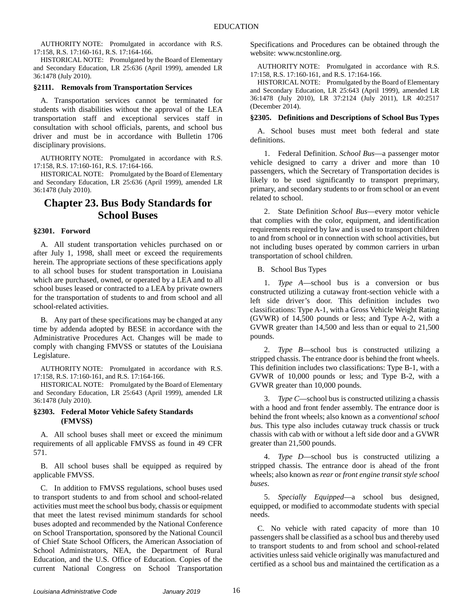AUTHORITY NOTE: Promulgated in accordance with R.S. 17:158, R.S. 17:160-161, R.S. 17:164-166.

HISTORICAL NOTE: Promulgated by the Board of Elementary and Secondary Education, LR 25:636 (April 1999), amended LR 36:1478 (July 2010).

#### <span id="page-17-0"></span>**§2111. Removals from Transportation Services**

A. Transportation services cannot be terminated for students with disabilities without the approval of the LEA transportation staff and exceptional services staff in consultation with school officials, parents, and school bus driver and must be in accordance with Bulletin 1706 disciplinary provisions.

AUTHORITY NOTE: Promulgated in accordance with R.S. 17:158, R.S. 17:160-161, R.S. 17:164-166.

HISTORICAL NOTE: Promulgated by the Board of Elementary and Secondary Education, LR 25:636 (April 1999), amended LR 36:1478 (July 2010).

## <span id="page-17-1"></span>**Chapter 23. Bus Body Standards for School Buses**

#### <span id="page-17-2"></span>**§2301. Forword**

A. All student transportation vehicles purchased on or after July 1, 1998, shall meet or exceed the requirements herein. The appropriate sections of these specifications apply to all school buses for student transportation in Louisiana which are purchased, owned, or operated by a LEA and to all school buses leased or contracted to a LEA by private owners for the transportation of students to and from school and all school-related activities.

B. Any part of these specifications may be changed at any time by addenda adopted by BESE in accordance with the Administrative Procedures Act. Changes will be made to comply with changing FMVSS or statutes of the Louisiana Legislature.

AUTHORITY NOTE: Promulgated in accordance with R.S. 17:158, R.S. 17:160-161, and R.S. 17:164-166.

HISTORICAL NOTE: Promulgated by the Board of Elementary and Secondary Education, LR 25:643 (April 1999), amended LR 36:1478 (July 2010).

#### <span id="page-17-3"></span>**§2303. Federal Motor Vehicle Safety Standards (FMVSS)**

A. All school buses shall meet or exceed the minimum requirements of all applicable FMVSS as found in 49 CFR 571.

B. All school buses shall be equipped as required by applicable FMVSS.

C. In addition to FMVSS regulations, school buses used to transport students to and from school and school-related activities must meet the school bus body, chassis or equipment that meet the latest revised minimum standards for school buses adopted and recommended by the National Conference on School Transportation, sponsored by the National Council of Chief State School Officers, the American Association of School Administrators, NEA, the Department of Rural Education, and the U.S. Office of Education. Copies of the current National Congress on School Transportation Specifications and Procedures can be obtained through the website: www.ncstonline.org.

AUTHORITY NOTE: Promulgated in accordance with R.S. 17:158, R.S. 17:160-161, and R.S. 17:164-166.

HISTORICAL NOTE: Promulgated by the Board of Elementary and Secondary Education, LR 25:643 (April 1999), amended LR 36:1478 (July 2010), LR 37:2124 (July 2011), LR 40:2517 (December 2014).

#### <span id="page-17-4"></span>**§2305. Definitions and Descriptions of School Bus Types**

A. School buses must meet both federal and state definitions.

1. Federal Definition. *School Bus*—a passenger motor vehicle designed to carry a driver and more than 10 passengers, which the Secretary of Transportation decides is likely to be used significantly to transport preprimary, primary, and secondary students to or from school or an event related to school.

2. State Definition *School Bus*—every motor vehicle that complies with the color, equipment, and identification requirements required by law and is used to transport children to and from school or in connection with school activities, but not including buses operated by common carriers in urban transportation of school children.

B. School Bus Types

1. *Type A*—school bus is a conversion or bus constructed utilizing a cutaway front-section vehicle with a left side driver's door. This definition includes two classifications: Type A-1, with a Gross Vehicle Weight Rating (GVWR) of 14,500 pounds or less; and Type A-2, with a GVWR greater than 14,500 and less than or equal to 21,500 pounds.

2. *Type B*—school bus is constructed utilizing a stripped chassis. The entrance door is behind the front wheels. This definition includes two classifications: Type B-1, with a GVWR of 10,000 pounds or less; and Type B-2, with a GVWR greater than 10,000 pounds.

3. *Type C*—school bus is constructed utilizing a chassis with a hood and front fender assembly. The entrance door is behind the front wheels; also known as a *conventional school bu*s. This type also includes cutaway truck chassis or truck chassis with cab with or without a left side door and a GVWR greater than 21,500 pounds.

4. *Type D*—school bus is constructed utilizing a stripped chassis. The entrance door is ahead of the front wheels; also known as *rear* or *front engine transit style school buses*.

5. *Specially Equipped*—a school bus designed, equipped, or modified to accommodate students with special needs.

C. No vehicle with rated capacity of more than 10 passengers shall be classified as a school bus and thereby used to transport students to and from school and school-related activities unless said vehicle originally was manufactured and certified as a school bus and maintained the certification as a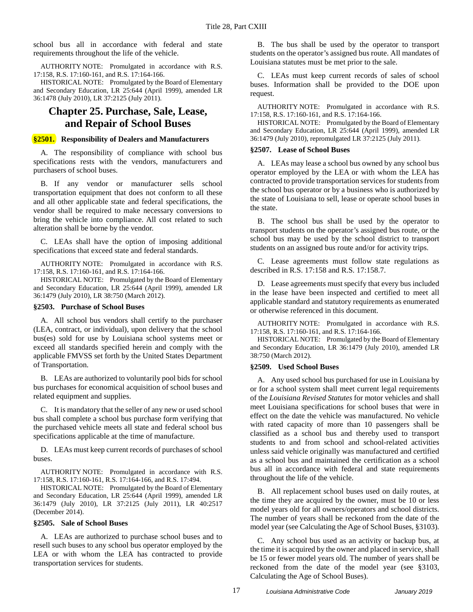school bus all in accordance with federal and state requirements throughout the life of the vehicle.

AUTHORITY NOTE: Promulgated in accordance with R.S. 17:158, R.S. 17:160-161, and R.S. 17:164-166.

HISTORICAL NOTE: Promulgated by the Board of Elementary and Secondary Education, LR 25:644 (April 1999), amended LR 36:1478 (July 2010), LR 37:2125 (July 2011).

# <span id="page-18-0"></span>**Chapter 25. Purchase, Sale, Lease, and Repair of School Buses**

#### <span id="page-18-1"></span>**§2501. Responsibility of Dealers and Manufacturers**

A. The responsibility of compliance with school bus specifications rests with the vendors, manufacturers and purchasers of school buses.

B. If any vendor or manufacturer sells school transportation equipment that does not conform to all these and all other applicable state and federal specifications, the vendor shall be required to make necessary conversions to bring the vehicle into compliance. All cost related to such alteration shall be borne by the vendor.

C. LEAs shall have the option of imposing additional specifications that exceed state and federal standards.

AUTHORITY NOTE: Promulgated in accordance with R.S. 17:158, R.S. 17:160-161, and R.S. 17:164-166.

HISTORICAL NOTE: Promulgated by the Board of Elementary and Secondary Education, LR 25:644 (April 1999), amended LR 36:1479 (July 2010), LR 38:750 (March 2012).

#### <span id="page-18-2"></span>**§2503. Purchase of School Buses**

A. All school bus vendors shall certify to the purchaser (LEA, contract, or individual), upon delivery that the school bus(es) sold for use by Louisiana school systems meet or exceed all standards specified herein and comply with the applicable FMVSS set forth by the United States Department of Transportation.

B. LEAs are authorized to voluntarily pool bids for school bus purchases for economical acquisition of school buses and related equipment and supplies.

C. It is mandatory that the seller of any new or used school bus shall complete a school bus purchase form verifying that the purchased vehicle meets all state and federal school bus specifications applicable at the time of manufacture.

D. LEAs must keep current records of purchases of school buses.

AUTHORITY NOTE: Promulgated in accordance with R.S. 17:158, R.S. 17:160-161, R.S. 17:164-166, and R.S. 17:494.

HISTORICAL NOTE: Promulgated by the Board of Elementary and Secondary Education, LR 25:644 (April 1999), amended LR 36:1479 (July 2010), LR 37:2125 (July 2011), LR 40:2517 (December 2014).

#### <span id="page-18-3"></span>**§2505. Sale of School Buses**

A. LEAs are authorized to purchase school buses and to resell such buses to any school bus operator employed by the LEA or with whom the LEA has contracted to provide transportation services for students.

B. The bus shall be used by the operator to transport students on the operator's assigned bus route. All mandates of Louisiana statutes must be met prior to the sale.

C. LEAs must keep current records of sales of school buses. Information shall be provided to the DOE upon request.

AUTHORITY NOTE: Promulgated in accordance with R.S. 17:158, R.S. 17:160-161, and R.S. 17:164-166.

HISTORICAL NOTE: Promulgated by the Board of Elementary and Secondary Education, LR 25:644 (April 1999), amended LR 36:1479 (July 2010), repromulgated LR 37:2125 (July 2011).

#### <span id="page-18-4"></span>**§2507. Lease of School Buses**

A. LEAs may lease a school bus owned by any school bus operator employed by the LEA or with whom the LEA has contracted to provide transportation services for students from the school bus operator or by a business who is authorized by the state of Louisiana to sell, lease or operate school buses in the state.

B. The school bus shall be used by the operator to transport students on the operator's assigned bus route, or the school bus may be used by the school district to transport students on an assigned bus route and/or for activity trips.

C. Lease agreements must follow state regulations as described in R.S. 17:158 and R.S. 17:158.7.

D. Lease agreements must specify that every bus included in the lease have been inspected and certified to meet all applicable standard and statutory requirements as enumerated or otherwise referenced in this document.

AUTHORITY NOTE: Promulgated in accordance with R.S. 17:158, R.S. 17:160-161, and R.S. 17:164-166.

HISTORICAL NOTE: Promulgated by the Board of Elementary and Secondary Education, LR 36:1479 (July 2010), amended LR 38:750 (March 2012).

#### <span id="page-18-5"></span>**§2509. Used School Buses**

A. Any used school bus purchased for use in Louisiana by or for a school system shall meet current legal requirements of the *Louisiana Revised Statutes* for motor vehicles and shall meet Louisiana specifications for school buses that were in effect on the date the vehicle was manufactured. No vehicle with rated capacity of more than 10 passengers shall be classified as a school bus and thereby used to transport students to and from school and school-related activities unless said vehicle originally was manufactured and certified as a school bus and maintained the certification as a school bus all in accordance with federal and state requirements throughout the life of the vehicle.

B. All replacement school buses used on daily routes, at the time they are acquired by the owner, must be 10 or less model years old for all owners/operators and school districts. The number of years shall be reckoned from the date of the model year (see Calculating the Age of School Buses, §3103).

C. Any school bus used as an activity or backup bus, at the time it is acquired by the owner and placed in service, shall be 15 or fewer model years old. The number of years shall be reckoned from the date of the model year (see §3103, Calculating the Age of School Buses).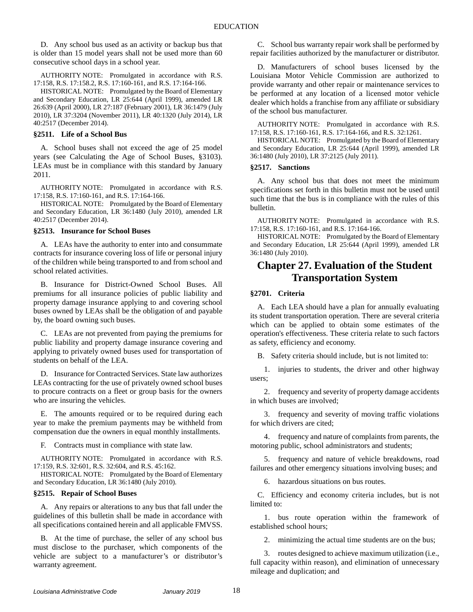D. Any school bus used as an activity or backup bus that is older than 15 model years shall not be used more than 60 consecutive school days in a school year.

AUTHORITY NOTE: Promulgated in accordance with R.S. 17:158, R.S. 17:158.2, R.S. 17:160-161, and R.S. 17:164-166.

HISTORICAL NOTE: Promulgated by the Board of Elementary and Secondary Education, LR 25:644 (April 1999), amended LR 26:639 (April 2000), LR 27:187 (February 2001), LR 36:1479 (July 2010), LR 37:3204 (November 2011), LR 40:1320 (July 2014), LR 40:2517 (December 2014).

#### <span id="page-19-0"></span>**§2511. Life of a School Bus**

A. School buses shall not exceed the age of 25 model years (see Calculating the Age of School Buses, §3103). LEAs must be in compliance with this standard by January 2011.

AUTHORITY NOTE: Promulgated in accordance with R.S. 17:158, R.S. 17:160-161, and R.S. 17:164-166.

HISTORICAL NOTE: Promulgated by the Board of Elementary and Secondary Education, LR 36:1480 (July 2010), amended LR 40:2517 (December 2014).

#### <span id="page-19-1"></span>**§2513. Insurance for School Buses**

A. LEAs have the authority to enter into and consummate contracts for insurance covering loss of life or personal injury of the children while being transported to and from school and school related activities.

B. Insurance for District-Owned School Buses. All premiums for all insurance policies of public liability and property damage insurance applying to and covering school buses owned by LEAs shall be the obligation of and payable by, the board owning such buses.

C. LEAs are not prevented from paying the premiums for public liability and property damage insurance covering and applying to privately owned buses used for transportation of students on behalf of the LEA.

D. Insurance for Contracted Services. State law authorizes LEAs contracting for the use of privately owned school buses to procure contracts on a fleet or group basis for the owners who are insuring the vehicles.

E. The amounts required or to be required during each year to make the premium payments may be withheld from compensation due the owners in equal monthly installments.

F. Contracts must in compliance with state law.

AUTHORITY NOTE: Promulgated in accordance with R.S. 17:159, R.S. 32:601, R.S. 32:604, and R.S. 45:162.

HISTORICAL NOTE: Promulgated by the Board of Elementary and Secondary Education, LR 36:1480 (July 2010).

#### <span id="page-19-2"></span>**§2515. Repair of School Buses**

A. Any repairs or alterations to any bus that fall under the guidelines of this bulletin shall be made in accordance with all specifications contained herein and all applicable FMVSS.

B. At the time of purchase, the seller of any school bus must disclose to the purchaser, which components of the vehicle are subject to a manufacturer's or distributor's warranty agreement.

C. School bus warranty repair work shall be performed by repair facilities authorized by the manufacturer or distributor.

D. Manufacturers of school buses licensed by the Louisiana Motor Vehicle Commission are authorized to provide warranty and other repair or maintenance services to be performed at any location of a licensed motor vehicle dealer which holds a franchise from any affiliate or subsidiary of the school bus manufacturer.

AUTHORITY NOTE: Promulgated in accordance with R.S. 17:158, R.S. 17:160-161, R.S. 17:164-166, and R.S. 32:1261.

HISTORICAL NOTE: Promulgated by the Board of Elementary and Secondary Education, LR 25:644 (April 1999), amended LR 36:1480 (July 2010), LR 37:2125 (July 2011).

#### <span id="page-19-3"></span>**§2517. Sanctions**

A. Any school bus that does not meet the minimum specifications set forth in this bulletin must not be used until such time that the bus is in compliance with the rules of this bulletin.

AUTHORITY NOTE: Promulgated in accordance with R.S. 17:158, R.S. 17:160-161, and R.S. 17:164-166.

HISTORICAL NOTE: Promulgated by the Board of Elementary and Secondary Education, LR 25:644 (April 1999), amended LR 36:1480 (July 2010).

## <span id="page-19-4"></span>**Chapter 27. Evaluation of the Student Transportation System**

#### <span id="page-19-5"></span>**§2701. Criteria**

A. Each LEA should have a plan for annually evaluating its student transportation operation. There are several criteria which can be applied to obtain some estimates of the operation's effectiveness. These criteria relate to such factors as safety, efficiency and economy.

B. Safety criteria should include, but is not limited to:

1. injuries to students, the driver and other highway users;

2. frequency and severity of property damage accidents in which buses are involved;

3. frequency and severity of moving traffic violations for which drivers are cited;

4. frequency and nature of complaints from parents, the motoring public, school administrators and students;

5. frequency and nature of vehicle breakdowns, road failures and other emergency situations involving buses; and

6. hazardous situations on bus routes.

C. Efficiency and economy criteria includes, but is not limited to:

1. bus route operation within the framework of established school hours;

2. minimizing the actual time students are on the bus;

3. routes designed to achieve maximum utilization (i.e., full capacity within reason), and elimination of unnecessary mileage and duplication; and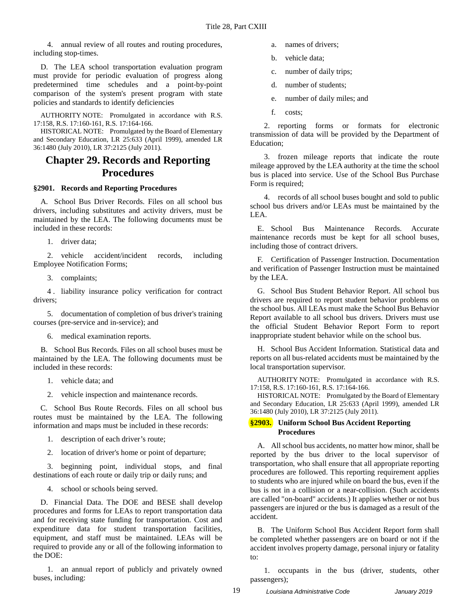4. annual review of all routes and routing procedures, including stop-times.

D. The LEA school transportation evaluation program must provide for periodic evaluation of progress along predetermined time schedules and a point-by-point comparison of the system's present program with state policies and standards to identify deficiencies

AUTHORITY NOTE: Promulgated in accordance with R.S. 17:158, R.S. 17:160-161, R.S. 17:164-166.

HISTORICAL NOTE: Promulgated by the Board of Elementary and Secondary Education, LR 25:633 (April 1999), amended LR 36:1480 (July 2010), LR 37:2125 (July 2011).

### <span id="page-20-0"></span>**Chapter 29. Records and Reporting Procedures**

#### <span id="page-20-1"></span>**§2901. Records and Reporting Procedures**

A. School Bus Driver Records. Files on all school bus drivers, including substitutes and activity drivers, must be maintained by the LEA. The following documents must be included in these records:

1. driver data;

2. vehicle accident/incident records, including Employee Notification Forms;

3. complaints;

4 . liability insurance policy verification for contract drivers;

5. documentation of completion of bus driver's training courses (pre-service and in-service); and

6. medical examination reports.

B. School Bus Records. Files on all school buses must be maintained by the LEA. The following documents must be included in these records:

- 1. vehicle data; and
- 2. vehicle inspection and maintenance records.

C. School Bus Route Records. Files on all school bus routes must be maintained by the LEA. The following information and maps must be included in these records:

1. description of each driver's route;

2. location of driver's home or point of departure;

3. beginning point, individual stops, and final destinations of each route or daily trip or daily runs; and

4. school or schools being served.

D. Financial Data. The DOE and BESE shall develop procedures and forms for LEAs to report transportation data and for receiving state funding for transportation. Cost and expenditure data for student transportation facilities, equipment, and staff must be maintained. LEAs will be required to provide any or all of the following information to the DOE:

1. an annual report of publicly and privately owned buses, including:

- a. names of drivers;
- b. vehicle data;
- c. number of daily trips;
- d. number of students;
- e. number of daily miles; and
- f. costs;

2. reporting forms or formats for electronic transmission of data will be provided by the Department of Education;

3. frozen mileage reports that indicate the route mileage approved by the LEA authority at the time the school bus is placed into service. Use of the School Bus Purchase Form is required;

4. records of all school buses bought and sold to public school bus drivers and/or LEAs must be maintained by the LEA.

E. School Bus Maintenance Records. Accurate maintenance records must be kept for all school buses, including those of contract drivers.

F. Certification of Passenger Instruction. Documentation and verification of Passenger Instruction must be maintained by the LEA.

G. School Bus Student Behavior Report. All school bus drivers are required to report student behavior problems on the school bus. All LEAs must make the School Bus Behavior Report available to all school bus drivers. Drivers must use the official Student Behavior Report Form to report inappropriate student behavior while on the school bus.

H. School Bus Accident Information. Statistical data and reports on all bus-related accidents must be maintained by the local transportation supervisor.

AUTHORITY NOTE: Promulgated in accordance with R.S. 17:158, R.S. 17:160-161, R.S. 17:164-166.

HISTORICAL NOTE: Promulgated by the Board of Elementary and Secondary Education, LR 25:633 (April 1999), amended LR 36:1480 (July 2010), LR 37:2125 (July 2011).

#### <span id="page-20-2"></span>**§2903. Uniform School Bus Accident Reporting Procedures**

A. All school bus accidents, no matter how minor, shall be reported by the bus driver to the local supervisor of transportation, who shall ensure that all appropriate reporting procedures are followed. This reporting requirement applies to students who are injured while on board the bus, even if the bus is not in a collision or a near-collision. (Such accidents are called "on-board" accidents.) It applies whether or not bus passengers are injured or the bus is damaged as a result of the accident.

B. The Uniform School Bus Accident Report form shall be completed whether passengers are on board or not if the accident involves property damage, personal injury or fatality to:

1. occupants in the bus (driver, students, other passengers);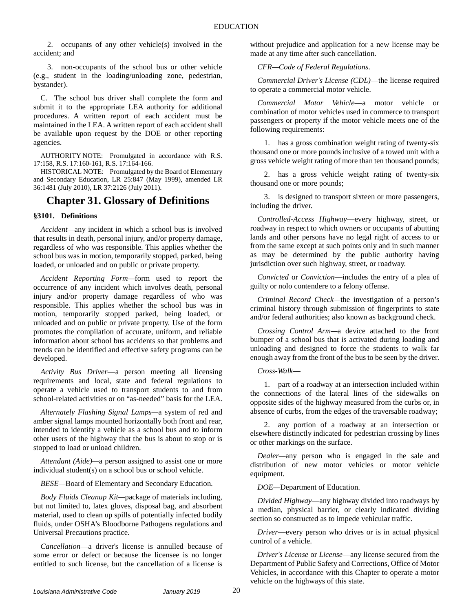2. occupants of any other vehicle(s) involved in the accident; and

3. non-occupants of the school bus or other vehicle (e.g., student in the loading/unloading zone, pedestrian, bystander).

C. The school bus driver shall complete the form and submit it to the appropriate LEA authority for additional procedures. A written report of each accident must be maintained in the LEA. A written report of each accident shall be available upon request by the DOE or other reporting agencies.

AUTHORITY NOTE: Promulgated in accordance with R.S. 17:158, R.S. 17:160-161, R.S. 17:164-166.

HISTORICAL NOTE: Promulgated by the Board of Elementary and Secondary Education, LR 25:847 (May 1999), amended LR 36:1481 (July 2010), LR 37:2126 (July 2011).

### <span id="page-21-0"></span>**Chapter 31. Glossary of Definitions**

#### <span id="page-21-1"></span>**§3101. Definitions**

*Accident—*any incident in which a school bus is involved that results in death, personal injury, and/or property damage, regardless of who was responsible. This applies whether the school bus was in motion, temporarily stopped, parked, being loaded, or unloaded and on public or private property.

*Accident Reporting Form—*form used to report the occurrence of any incident which involves death, personal injury and/or property damage regardless of who was responsible. This applies whether the school bus was in motion, temporarily stopped parked, being loaded, or unloaded and on public or private property. Use of the form promotes the compilation of accurate, uniform, and reliable information about school bus accidents so that problems and trends can be identified and effective safety programs can be developed.

*Activity Bus Driver*—a person meeting all licensing requirements and local, state and federal regulations to operate a vehicle used to transport students to and from school-related activities or on "as-needed" basis for the LEA.

*Alternately Flashing Signal Lamps—*a system of red and amber signal lamps mounted horizontally both front and rear, intended to identify a vehicle as a school bus and to inform other users of the highway that the bus is about to stop or is stopped to load or unload children.

*Attendant (Aide)—*a person assigned to assist one or more individual student(s) on a school bus or school vehicle.

*BESE—*Board of Elementary and Secondary Education*.*

*Body Fluids Cleanup Kit—*package of materials including, but not limited to, latex gloves, disposal bag, and absorbent material, used to clean up spills of potentially infected bodily fluids, under OSHA's Bloodborne Pathogens regulations and Universal Precautions practice.

*Cancellation*—a driver's license is annulled because of some error or defect or because the licensee is no longer entitled to such license, but the cancellation of a license is without prejudice and application for a new license may be made at any time after such cancellation.

*CFR—Code of Federal Regulations*.

*Commercial Driver's License (CDL)*—the license required to operate a commercial motor vehicle.

*Commercial Motor Vehicle*—a motor vehicle or combination of motor vehicles used in commerce to transport passengers or property if the motor vehicle meets one of the following requirements:

1. has a gross combination weight rating of twenty-six thousand one or more pounds inclusive of a towed unit with a gross vehicle weight rating of more than ten thousand pounds;

2. has a gross vehicle weight rating of twenty-six thousand one or more pounds;

3. is designed to transport sixteen or more passengers, including the driver.

*Controlled-Access Highway*—every highway, street, or roadway in respect to which owners or occupants of abutting lands and other persons have no legal right of access to or from the same except at such points only and in such manner as may be determined by the public authority having jurisdiction over such highway, street, or roadway.

*Convicted* or *Conviction*—includes the entry of a plea of guilty or nolo contendere to a felony offense.

*Criminal Record Check—*the investigation of a person's criminal history through submission of fingerprints to state and/or federal authorities; also known as background check.

*Crossing Control Arm—*a device attached to the front bumper of a school bus that is activated during loading and unloading and designed to force the students to walk far enough away from the front of the bus to be seen by the driver.

*Cross-Walk*—

1. part of a roadway at an intersection included within the connections of the lateral lines of the sidewalks on opposite sides of the highway measured from the curbs or, in absence of curbs, from the edges of the traversable roadway;

2. any portion of a roadway at an intersection or elsewhere distinctly indicated for pedestrian crossing by lines or other markings on the surface.

*Dealer—*any person who is engaged in the sale and distribution of new motor vehicles or motor vehicle equipment.

*DOE—*Department of Education.

*Divided Highway*—any highway divided into roadways by a median, physical barrier, or clearly indicated dividing section so constructed as to impede vehicular traffic.

*Driver*—every person who drives or is in actual physical control of a vehicle.

*Driver's License* or *License*—any license secured from the Department of Public Safety and Corrections, Office of Motor Vehicles, in accordance with this Chapter to operate a motor vehicle on the highways of this state.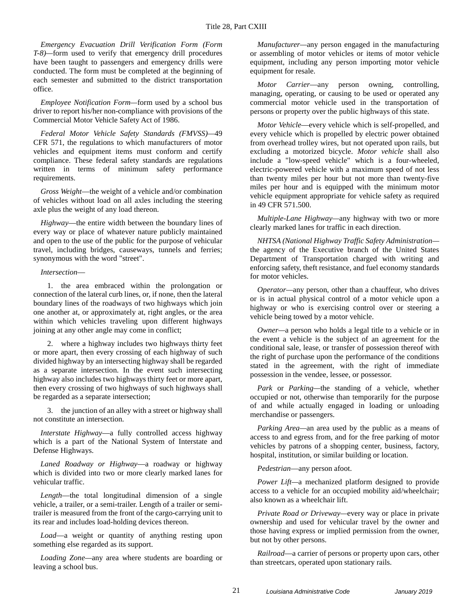*Emergency Evacuation Drill Verification Form (Form T-8)—*form used to verify that emergency drill procedures have been taught to passengers and emergency drills were conducted. The form must be completed at the beginning of each semester and submitted to the district transportation office.

*Employee Notification Form—*form used by a school bus driver to report his/her non-compliance with provisions of the Commercial Motor Vehicle Safety Act of 1986.

*Federal Motor Vehicle Safety Standards (FMVSS)—*49 CFR 571, the regulations to which manufacturers of motor vehicles and equipment items must conform and certify compliance. These federal safety standards are regulations written in terms of minimum safety performance requirements.

*Gross Weight*—the weight of a vehicle and/or combination of vehicles without load on all axles including the steering axle plus the weight of any load thereon.

*Highway*—the entire width between the boundary lines of every way or place of whatever nature publicly maintained and open to the use of the public for the purpose of vehicular travel, including bridges, causeways, tunnels and ferries; synonymous with the word "street".

#### *Intersection*—

1. the area embraced within the prolongation or connection of the lateral curb lines, or, if none, then the lateral boundary lines of the roadways of two highways which join one another at, or approximately at, right angles, or the area within which vehicles traveling upon different highways joining at any other angle may come in conflict;

2. where a highway includes two highways thirty feet or more apart, then every crossing of each highway of such divided highway by an intersecting highway shall be regarded as a separate intersection. In the event such intersecting highway also includes two highways thirty feet or more apart, then every crossing of two highways of such highways shall be regarded as a separate intersection;

3. the junction of an alley with a street or highway shall not constitute an intersection.

*Interstate Highway*—a fully controlled access highway which is a part of the National System of Interstate and Defense Highways.

*Laned Roadway or Highway*—a roadway or highway which is divided into two or more clearly marked lanes for vehicular traffic.

*Length*—the total longitudinal dimension of a single vehicle, a trailer, or a semi-trailer. Length of a trailer or semitrailer is measured from the front of the cargo-carrying unit to its rear and includes load-holding devices thereon.

*Load*—a weight or quantity of anything resting upon something else regarded as its support.

*Loading Zone—*any area where students are boarding or leaving a school bus.

*Manufacturer—*any person engaged in the manufacturing or assembling of motor vehicles or items of motor vehicle equipment, including any person importing motor vehicle equipment for resale.

*Motor Carrier*—any person owning, controlling, managing, operating, or causing to be used or operated any commercial motor vehicle used in the transportation of persons or property over the public highways of this state.

*Motor Vehicle*—every vehicle which is self-propelled, and every vehicle which is propelled by electric power obtained from overhead trolley wires, but not operated upon rails, but excluding a motorized bicycle. *Motor vehicle* shall also include a "low-speed vehicle" which is a four-wheeled, electric-powered vehicle with a maximum speed of not less than twenty miles per hour but not more than twenty-five miles per hour and is equipped with the minimum motor vehicle equipment appropriate for vehicle safety as required in 49 CFR 571.500.

*Multiple-Lane Highway—*any highway with two or more clearly marked lanes for traffic in each direction.

*NHTSA (National Highway Traffic Safety Administration* the agency of the Executive branch of the United States Department of Transportation charged with writing and enforcing safety, theft resistance, and fuel economy standards for motor vehicles.

*Operator—*any person, other than a chauffeur, who drives or is in actual physical control of a motor vehicle upon a highway or who is exercising control over or steering a vehicle being towed by a motor vehicle.

*Owner—*a person who holds a legal title to a vehicle or in the event a vehicle is the subject of an agreement for the conditional sale, lease, or transfer of possession thereof with the right of purchase upon the performance of the conditions stated in the agreement, with the right of immediate possession in the vendee, lessee, or possessor.

*Park* or *Parking—*the standing of a vehicle, whether occupied or not, otherwise than temporarily for the purpose of and while actually engaged in loading or unloading merchandise or passengers.

*Parking Area—*an area used by the public as a means of access to and egress from, and for the free parking of motor vehicles by patrons of a shopping center, business, factory, hospital, institution, or similar building or location.

*Pedestrian*—any person afoot.

*Power Lift—*a mechanized platform designed to provide access to a vehicle for an occupied mobility aid/wheelchair; also known as a wheelchair lift.

*Private Road or Driveway—*every way or place in private ownership and used for vehicular travel by the owner and those having express or implied permission from the owner, but not by other persons.

*Railroad*—a carrier of persons or property upon cars, other than streetcars, operated upon stationary rails.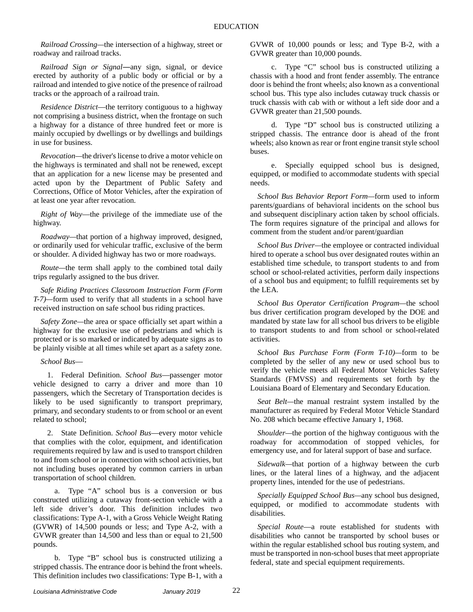*Railroad Crossing—*the intersection of a highway, street or roadway and railroad tracks.

*Railroad Sign or Signal―*any sign, signal, or device erected by authority of a public body or official or by a railroad and intended to give notice of the presence of railroad tracks or the approach of a railroad train.

*Residence District*—the territory contiguous to a highway not comprising a business district, when the frontage on such a highway for a distance of three hundred feet or more is mainly occupied by dwellings or by dwellings and buildings in use for business.

*Revocation—*the driver's license to drive a motor vehicle on the highways is terminated and shall not be renewed, except that an application for a new license may be presented and acted upon by the Department of Public Safety and Corrections, Office of Motor Vehicles, after the expiration of at least one year after revocation.

*Right of Way*—the privilege of the immediate use of the highway.

*Roadway—*that portion of a highway improved, designed, or ordinarily used for vehicular traffic, exclusive of the berm or shoulder. A divided highway has two or more roadways.

*Route—*the term shall apply to the combined total daily trips regularly assigned to the bus driver.

*Safe Riding Practices Classroom Instruction Form (Form T-7)—*form used to verify that all students in a school have received instruction on safe school bus riding practices.

*Safety Zone—*the area or space officially set apart within a highway for the exclusive use of pedestrians and which is protected or is so marked or indicated by adequate signs as to be plainly visible at all times while set apart as a safety zone.

#### *School Bus*—

1. Federal Definition. *School Bus*—passenger motor vehicle designed to carry a driver and more than 10 passengers, which the Secretary of Transportation decides is likely to be used significantly to transport preprimary, primary, and secondary students to or from school or an event related to school;

2. State Definition. *School Bus*—every motor vehicle that complies with the color, equipment, and identification requirements required by law and is used to transport children to and from school or in connection with school activities, but not including buses operated by common carriers in urban transportation of school children.

a. Type "A" school bus is a conversion or bus constructed utilizing a cutaway front-section vehicle with a left side driver's door. This definition includes two classifications: Type A-1, with a Gross Vehicle Weight Rating (GVWR) of 14,500 pounds or less; and Type A-2, with a GVWR greater than 14,500 and less than or equal to 21,500 pounds.

b. Type "B" school bus is constructed utilizing a stripped chassis. The entrance door is behind the front wheels. This definition includes two classifications: Type B-1, with a GVWR of 10,000 pounds or less; and Type B-2, with a GVWR greater than 10,000 pounds.

c. Type "C" school bus is constructed utilizing a chassis with a hood and front fender assembly. The entrance door is behind the front wheels; also known as a conventional school bus. This type also includes cutaway truck chassis or truck chassis with cab with or without a left side door and a GVWR greater than 21,500 pounds.

d. Type "D" school bus is constructed utilizing a stripped chassis. The entrance door is ahead of the front wheels; also known as rear or front engine transit style school buses.

e. Specially equipped school bus is designed, equipped, or modified to accommodate students with special needs.

*School Bus Behavior Report Form—*form used to inform parents/guardians of behavioral incidents on the school bus and subsequent disciplinary action taken by school officials. The form requires signature of the principal and allows for comment from the student and/or parent/guardian

*School Bus Driver—*the employee or contracted individual hired to operate a school bus over designated routes within an established time schedule, to transport students to and from school or school-related activities, perform daily inspections of a school bus and equipment; to fulfill requirements set by the LEA.

*School Bus Operator Certification Program—*the school bus driver certification program developed by the DOE and mandated by state law for all school bus drivers to be eligible to transport students to and from school or school-related activities.

*School Bus Purchase Form (Form T-10)—*form to be completed by the seller of any new or used school bus to verify the vehicle meets all Federal Motor Vehicles Safety Standards (FMVSS) and requirements set forth by the Louisiana Board of Elementary and Secondary Education.

*Seat Belt—*the manual restraint system installed by the manufacturer as required by Federal Motor Vehicle Standard No. 208 which became effective January 1, 1968.

*Shoulder—*the portion of the highway contiguous with the roadway for accommodation of stopped vehicles, for emergency use, and for lateral support of base and surface.

*Sidewalk—*that portion of a highway between the curb lines, or the lateral lines of a highway, and the adjacent property lines, intended for the use of pedestrians.

*Specially Equipped School Bus—*any school bus designed, equipped, or modified to accommodate students with disabilities.

*Special Route*—a route established for students with disabilities who cannot be transported by school buses or within the regular established school bus routing system, and must be transported in non-school buses that meet appropriate federal, state and special equipment requirements.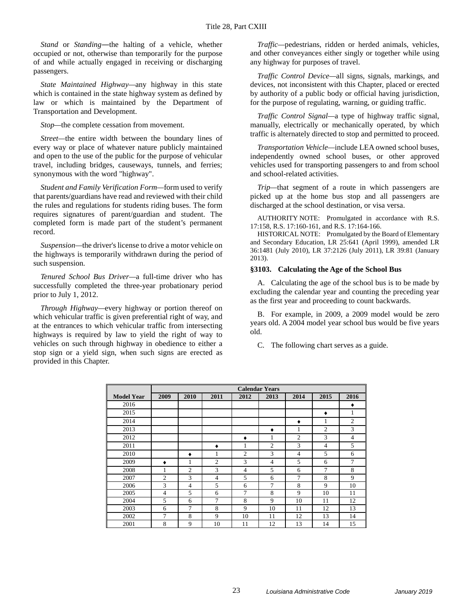*Stand* or *Standing―*the halting of a vehicle, whether occupied or not, otherwise than temporarily for the purpose of and while actually engaged in receiving or discharging passengers.

*State Maintained Highway—*any highway in this state which is contained in the state highway system as defined by law or which is maintained by the Department of Transportation and Development.

*Stop—*the complete cessation from movement.

*Street—*the entire width between the boundary lines of every way or place of whatever nature publicly maintained and open to the use of the public for the purpose of vehicular travel, including bridges, causeways, tunnels, and ferries; synonymous with the word "highway".

*Student and Family Verification Form—*form used to verify that parents/guardians have read and reviewed with their child the rules and regulations for students riding buses. The form requires signatures of parent/guardian and student. The completed form is made part of the student's permanent record.

*Suspension—*the driver's license to drive a motor vehicle on the highways is temporarily withdrawn during the period of such suspension.

*Tenured School Bus Driver—*a full-time driver who has successfully completed the three-year probationary period prior to July 1, 2012.

*Through Highway—*every highway or portion thereof on which vehicular traffic is given preferential right of way, and at the entrances to which vehicular traffic from intersecting highways is required by law to yield the right of way to vehicles on such through highway in obedience to either a stop sign or a yield sign, when such signs are erected as provided in this Chapter.

*Traffic—*pedestrians, ridden or herded animals, vehicles, and other conveyances either singly or together while using any highway for purposes of travel.

*Traffic Control Device—*all signs, signals, markings, and devices, not inconsistent with this Chapter, placed or erected by authority of a public body or official having jurisdiction, for the purpose of regulating, warning, or guiding traffic.

*Traffic Control Signal—*a type of highway traffic signal, manually, electrically or mechanically operated, by which traffic is alternately directed to stop and permitted to proceed.

*Transportation Vehicle—*include LEA owned school buses, independently owned school buses, or other approved vehicles used for transporting passengers to and from school and school-related activities.

*Trip—*that segment of a route in which passengers are picked up at the home bus stop and all passengers are discharged at the school destination, or visa versa.

AUTHORITY NOTE: Promulgated in accordance with R.S. 17:158, R.S. 17:160-161, and R.S. 17:164-166.

HISTORICAL NOTE: Promulgated by the Board of Elementary and Secondary Education, LR 25:641 (April 1999), amended LR 36:1481 (July 2010), LR 37:2126 (July 2011), LR 39:81 (January 2013).

#### <span id="page-24-0"></span>**§3103. Calculating the Age of the School Bus**

A. Calculating the age of the school bus is to be made by excluding the calendar year and counting the preceding year as the first year and proceeding to count backwards.

B. For example, in 2009, a 2009 model would be zero years old. A 2004 model year school bus would be five years old.

C. The following chart serves as a guide.

|                   | <b>Calendar Years</b> |                |                |                |                |                |                |                |
|-------------------|-----------------------|----------------|----------------|----------------|----------------|----------------|----------------|----------------|
| <b>Model Year</b> | 2009                  | 2010           | 2011           | 2012           | 2013           | 2014           | 2015           | 2016           |
| 2016              |                       |                |                |                |                |                |                | ٠              |
| 2015              |                       |                |                |                |                |                | ٠              | 1              |
| 2014              |                       |                |                |                |                | ٠              | 1              | $\overline{c}$ |
| 2013              |                       |                |                |                | ٠              |                | $\mathfrak{2}$ | 3              |
| 2012              |                       |                |                | ٠              | 1              | $\overline{c}$ | 3              | $\overline{4}$ |
| 2011              |                       |                | ٠              | 1              | $\overline{c}$ | 3              | $\overline{4}$ | 5              |
| 2010              |                       | ٠              | 1              | $\overline{c}$ | 3              | $\overline{4}$ | 5              | 6              |
| 2009              | ٠                     |                | $\overline{c}$ | 3              | $\overline{4}$ | 5              | 6              | 7              |
| 2008              | 1                     | $\overline{c}$ | 3              | $\overline{4}$ | 5              | 6              | 7              | 8              |
| 2007              | $\overline{2}$        | 3              | $\overline{4}$ | 5              | 6              | 7              | 8              | 9              |
| 2006              | 3                     | $\overline{4}$ | 5              | 6              | 7              | 8              | 9              | 10             |
| 2005              | $\overline{4}$        | 5              | 6              | 7              | 8              | 9              | 10             | 11             |
| 2004              | 5                     | 6              | $\overline{7}$ | 8              | 9              | 10             | 11             | 12             |
| 2003              | 6                     | 7              | 8              | 9              | 10             | 11             | 12             | 13             |
| 2002              | $\overline{7}$        | 8              | 9              | 10             | 11             | 12             | 13             | 14             |
| 2001              | 8                     | 9              | 10             | 11             | 12             | 13             | 14             | 15             |